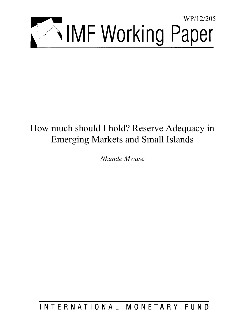

# How much should I hold? Reserve Adequacy in Emerging Markets and Small Islands

*Nkunde Mwase* 

INTERNATIONAL MONETARY FUND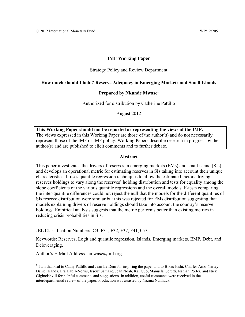#### **IMF Working Paper**

#### Strategy Policy and Review Department

#### **How much should I hold? Reserve Adequacy in Emerging Markets and Small Islands**

#### Prepared by Nkunde Mwase<sup>1</sup>

Authorized for distribution by Catherine Pattillo

August 2012

**This Working Paper should not be reported as representing the views of the IMF.**  The views expressed in this Working Paper are those of the author(s) and do not necessarily represent those of the IMF or IMF policy. Working Papers describe research in progress by the author(s) and are published to elicit comments and to further debate.

#### **Abstract**

This paper investigates the drivers of reserves in emerging markets (EMs) and small island (SIs) and develops an operational metric for estimating reserves in SIs taking into account their unique characteristics. It uses quantile regression techniques to allow the estimated factors driving reserves holdings to vary along the reserves' holding distribution and tests for equality among the slope coefficients of the various quantile regressions and the overall models. F-tests comparing the inter-quantile differences could not reject the null that the models for the different quantiles of SIs reserve distribution were similar but this was rejected for EMs distribution suggesting that models explaining drivers of reserve holdings should take into account the country's reserve holdings. Empirical analysis suggests that the metric performs better than existing metrics in reducing crisis probabilities in SIs.

JEL Classification Numbers: C3, F31, F32, F37, F41, 057

Keywords: Reserves, Logit and quantile regression, Islands, Emerging markets, EMP, Debt, and Deleveraging.

Author's E-Mail Address: nmwase@imf.org

 $1$  I am thankful to Cathy Pattillo and Jean Le Dem for inspiring the paper and to Bikas Joshi, Charles Amo-Yartey, Daniel Kanda, Era Dabla-Norris, Issouf Samake, Jean Noah, Kai Guo, Manuela Goretti, Nathan Porter, and Nick Gigineishvili for helpful comments and suggestions. In addition, useful comments were received in the interdepartmental review of the paper. Production was assisted by Nazma Nunhuck.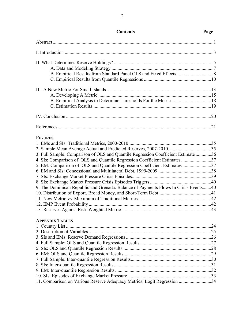| B. Empirical Analysis to Determine Thresholds For the Metric 18                     |  |
|-------------------------------------------------------------------------------------|--|
|                                                                                     |  |
|                                                                                     |  |
|                                                                                     |  |
| <b>FIGURES</b>                                                                      |  |
|                                                                                     |  |
|                                                                                     |  |
| 3. Full Sample: Comparison of OLS and Quantile Regression Coefficient Estimate 36   |  |
| 4. SIs: Comparison of OLS and Quantile Regression Coefficient Estimates37           |  |
| 5. EM: Comparison of OLS and Quantile Regression Coefficient Estimates 37           |  |
|                                                                                     |  |
|                                                                                     |  |
|                                                                                     |  |
| 9. The Dominican Republic and Grenada: Balance of Payments Flows In Crisis Events40 |  |
|                                                                                     |  |
|                                                                                     |  |
|                                                                                     |  |
|                                                                                     |  |
| <b>APPENDIX TABLES</b>                                                              |  |
|                                                                                     |  |
|                                                                                     |  |
|                                                                                     |  |
|                                                                                     |  |
|                                                                                     |  |
|                                                                                     |  |
|                                                                                     |  |
|                                                                                     |  |
|                                                                                     |  |
|                                                                                     |  |
| 11. Comparison on Various Reserve Adequacy Metrics: Logit Regression 34             |  |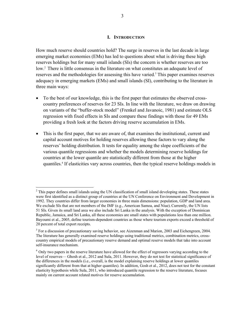#### **I. INTRODUCTION**

How much reserve should countries hold? The surge in reserves in the last decade in large emerging market economies (EMs) has led to questions about what is driving these high reserves holdings but for many small islands (SIs) the concern is whether reserves are too low.<sup>2</sup> There is little consensus in the literature on what constitutes an adequate level of reserves and the methodologies for assessing this have varied.<sup>3</sup> This paper examines reserves adequacy in emerging markets (EMs) and small islands (SI), contributing to the literature in three main ways:

- To the best of our knowledge, this is the first paper that estimates the observed crosscountry preferences of reserves for 23 SIs. In line with the literature, we draw on drawing on variants of the "buffer-stock model" (Frenkel and Javanoic, 1981) and estimate OLS regression with fixed effects in SIs and compare these findings with those for 49 EMs providing a fresh look at the factors driving reserve accumulation in EMs.
- This is the first paper, that we are aware of, that examines the institutional, current and capital account motives for holding reserves allowing these factors to vary along the reserves' holding distribution. It tests for equality among the slope coefficients of the various quantile regressions and whether the models determining reserve holdings for countries at the lower quantile are statistically different from those at the higher quantiles.4 If elasticities vary across countries, then the typical reserve holdings models in

 $2$  This paper defines small islands using the UN classification of small island developing states. These states were first identified as a distinct group of countries at the UN Conference on Environment and Development in 1992. They countries differ from larger economies in three main dimensions: population, GDP and land area. We exclude SIs that are not members of the IMF (e.g., American Samoa, and Niue). Currently, the UN lists 51 SIs. Given its small land area we also include Sri Lanka in the analysis. With the exception of Dominican Republic, Jamaica, and Sri Lanka, all these economies are small states with populations less than one million. Bayoumi et al., 2005, define tourism-dependent countries as those where tourism exports exceed a threshold of 20 percent of total export receipts.

 $3$  For a discussion of precautionary saving behavior, see Aizenman and Marion, 2003 and Eichengreen, 2004. The literature has generally examined reserve holdings using traditional metrics, combination metrics, crosscountry empirical models of precautionary reserve demand and optimal reserve models that take into account self-insurance mechanism.

<sup>&</sup>lt;sup>4</sup> Only two papers in the reserve literature have allowed for the effect of regressors varying according to the level of reserves— Ghosh et al., 2012 and Sula, 2011. However, they do not test for statistical significance of the differences in the models (i.e., overall, is the model explaining reserve holdings at lower quantiles significantly different from that at higher quantiles). In addition, Gosh et al., 2012, does not test for the constant elasticity hypothesis while Sula, 2011, who introduced quantile regression to the reserve literature, focuses mainly on current account related motives for reserve accumulation.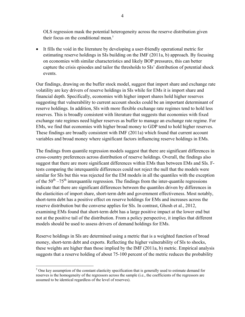OLS regression mask the potential heterogeneity across the reserve distribution given their focus on the conditional mean.<sup>5</sup>

 It fills the void in the literature by developing a user-friendly operational metric for estimating reserve holdings in SIs building on the IMF (2011a, b) approach. By focusing on economies with similar characteristics and likely BOP pressures, this can better capture the crisis episodes and tailor the thresholds to SIs' distribution of potential shock events.

Our findings, drawing on the buffer stock model, suggest that import share and exchange rate volatility are key drivers of reserve holdings in SIs while for EMs it is import share and financial depth. Specifically, economies with higher import shares hold higher reserves suggesting that vulnerability to current account shocks could be an important determinant of reserve holdings. In addition, SIs with more flexible exchange rate regimes tend to hold less reserves. This is broadly consistent with literature that suggests that economies with fixed exchange rate regimes need higher reserves as buffer to manage an exchange rate regime. For EMs, we find that economies with higher broad money to GDP tend to hold higher reserves. These findings are broadly consistent with IMF (2011a) which found that current account variables and broad money where significant factors influencing reserve holdings in EMs.

The findings from quantile regression models suggest that there are significant differences in cross-country preferences across distribution of reserve holdings. Overall, the findings also suggest that there are more significant differences within EMs than between EMs and SIs. Ftests comparing the interquantile differences could not reject the null that the models were similar for SIs but this was rejected for the EM models in all the quantiles with the exception of the  $50<sup>th</sup> - 75<sup>th</sup>$  interguantile regression. The findings from the inter-quantile regressions indicate that there are significant differences between the quantiles driven by differences in the elasticities of import share, short-term debt and government effectiveness. Most notably, short-term debt has a positive effect on reserve holdings for EMs and increases across the reserve distribution but the converse applies for SIs. In contrast, Ghosh et al., 2012, examining EMs found that short-term debt has a large positive impact at the lower end but not at the positive tail of the distribution. From a policy perspective, it implies that different models should be used to assess drivers of demand holdings for EMs.

Reserve holdings in SIs are determined using a metric that is a weighted function of broad money, short-term debt and exports. Reflecting the higher vulnerability of SIs to shocks, these weights are higher than those implied by the IMF (2011a, b) metric. Empirical analysis suggests that a reserve holding of about 75-100 percent of the metric reduces the probability

 $<sup>5</sup>$  One key assumption of the constant elasticity specification that is generally used to estimate demand for</sup> reserves is the homogeneity of the regressors across the sample (i.e., the coefficients of the regressors are assumed to be identical regardless of the level of reserves).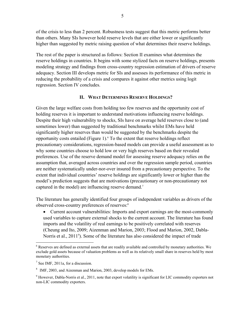of the crisis to less than 2 percent. Robustness tests suggest that this metric performs better than others. Many SIs however hold reserve levels that are either lower or significantly higher than suggested by metric raising question of what determines their reserve holdings.

The rest of the paper is structured as follows: Section II examines what determines the reserve holdings in countries. It begins with some stylized facts on reserve holdings, presents modeling strategy and findings from cross-country regression estimation of drivers of reserve adequacy. Section III develops metric for SIs and assesses its performance of this metric in reducing the probability of a crisis and compares it against other metrics using logit regression. Section IV concludes.

#### **II. WHAT DETERMINES RESERVE HOLDINGS?**

Given the large welfare costs from holding too few reserves and the opportunity cost of holding reserves it is important to understand motivations influencing reserve holdings. Despite their high vulnerability to shocks, SIs have on average held reserves close to (and sometimes lower) than suggested by traditional benchmarks whilst EMs have held significantly higher reserves than would be suggested by the benchmarks despite the opportunity costs entailed (Figure 1). $6$  To the extent that reserve holdings reflect precautionary considerations, regression-based models can provide a useful assessment as to why some countries choose to hold low or very high reserves based on their revealed preferences. Use of the reserve demand model for assessing reserve adequacy relies on the assumption that, averaged across countries and over the regression sample period, countries are neither systematically under-nor-over insured from a precautionary perspective. To the extent that individual countries' reserve holdings are significantly lower or higher than the model's prediction suggests that are motivations (precautionary or non-precautionary not captured in the model) are influencing reserve demand.<sup>7</sup>

The literature has generally identified four groups of independent variables as drivers of the observed cross-country preferences of reserves:8

 Current account vulnerabilities: Imports and export earnings are the most-commonly used variables to capture external shocks to the current account. The literature has found imports and the volatility of real earnings to be positively correlated with reserves (Cheung and Ito, 2009; Aizenman and Marion, 2003; Flood and Marion, 2002, Dabla-Norris et al., 2011<sup>9</sup>). Some of the literature has also considered the impact of trade

<sup>&</sup>lt;sup>6</sup> Reserves are defined as external assets that are readily available and controlled by monetary authorities. We exclude gold assets because of valuation problems as well as its relatively small share in reserves held by most monetary authorities.

 $<sup>7</sup>$  See IMF, 2011a, for a discussion.</sup>

<sup>&</sup>lt;sup>8</sup> IMF, 2003, and Aizenman and Marion, 2003, develop models for EMs.

 $9$  However, Dabla-Norris et al., 2011, note that export volatility is significant for LIC commodity exporters not non-LIC commodity exporters.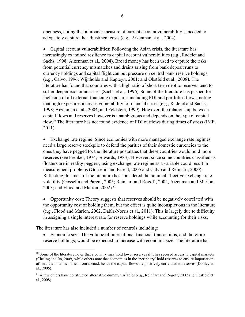openness, noting that a broader measure of current account vulnerability is needed to adequately capture the adjustment costs (e.g., Aizenman et al.*,* 2004).

 Capital account vulnerabilities: Following the Asian crisis, the literature has increasingly examined resilience to capital account vulnerabilities (e.g., Radelet and Sachs, 1998; Aizenman et al.*,* 2004). Broad money has been used to capture the risks from potential currency mismatches and drains arising from bank deposit runs to currency holdings and capital flight can put pressure on central bank reserve holdings (e.g., Calvo, 1996; Wijnholds and Kapteyn, 2001; and Obstfeld et al., 2008). The literature has found that countries with a high ratio of short-term debt to reserves tend to suffer deeper economic crises (Sachs et al.*,* 1996).Some of the literature has pushed for inclusion of all external financing exposures including FDI and portfolios flows, noting that high exposures increase vulnerability to financial crises (e.g., Radelet and Sachs, 1998; Aizenman et al., 2004; and Feldstein, 1999). However, the relationship between capital flows and reserves however is unambiguous and depends on the type of capital flow.10 The literature has not found evidence of FDI outflows during times of stress (IMF, 2011).

 Exchange rate regime: Since economies with more managed exchange rate regimes need a large reserve stockpile to defend the parities of their domestic currencies to the ones they have pegged to, the literature postulates that these countries would hold more reserves (see Frenkel, 1974; Edwards, 1983). However, since some countries classified as floaters are in reality peggers, using exchange rate regime as a variable could result in measurement problems (Gosselin and Parent, 2005 and Calvo and Reinhart, 2000). Reflecting this most of the literature has considered the nominal effective exchange rate volatility (Gosselin and Parent, 2005; Reinhart and Rogoff, 2002, Aizenman and Marion, 2003; and Flood and Marion,  $2002$ ).<sup>11</sup>

 Opportunity cost: Theory suggests that reserves should be negatively correlated with the opportunity cost of holding them, but the effect is quite inconspicuous in the literature (e.g., Flood and Marion, 2002, Dabla-Norris et al., 2011). This is largely due to difficulty in assigning a single interest rate for reserve holdings while accounting for their risks.

The literature has also included a number of controls including:

 $\overline{a}$ 

 Economic size: The volume of international financial transactions, and therefore reserve holdings, would be expected to increase with economic size. The literature has

 $10$  Some of the literature notes that a country may hold lower reserves if it has secured access to capital markets (Cheung and Ito, 2009) while others note that economies in the 'periphery' hold reserves to ensure importation of financial intermediaries from abroad, hence the capital flows are positively correlated to reserves (Dooley et al., 2005).

<sup>&</sup>lt;sup>11</sup> A few others have constructed alternative dummy variables (e.g., Reinhart and Rogoff, 2002 and Obstfeld et al., 2008).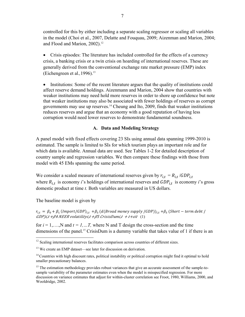controlled for this by either including a separate scaling regressor or scaling all variables in the model (Choi et al., 2007, Delatte and Fouquau, 2009; Aizenman and Marion, 2004; and Flood and Marion, 2002).<sup>12</sup>

 Crisis episodes: The literature has included controlled for the effects of a currency crisis, a banking crisis or a twin crisis on hoarding of international reserves. These are generally derived from the conventional exchange rate market pressure (EMP) index (Eichengreen et al.*,*1996).13

• Institutions: Some of the recent literature argues that the quality of institutions could affect reserve demand holdings. Aizenmann and Marion, 2004 show that countries with weaker institutions may need hold more reserves in order to shore up confidence but note that weaker institutions may also be associated with fewer holdings of reserves as corrupt governments may use up reserves.14 Cheung and Ito, 2009, finds that weaker institutions reduces reserves and argue that an economy with a good reputation of having less corruption would need lower reserves to demonstrate fundamental soundness.

#### **A. Data and Modeling Strategy**

A panel model with fixed effects covering 23 SIs using annual data spanning 1999-2010 is estimated. The sample is limited to SIs for which tourism plays an important role and for which data is available. Annual data are used. See Tables 1-2 for detailed description of country sample and regression variables. We then compare these findings with those from model with 45 EMs spanning the same period.

We consider a scaled measure of international reserves given by  $r_{i,t} = R_{i,t}/GDP_{i,t}$ where  $R_{i,t}$  is economy *i*'s holdings of international reserves and  $GDP_{i,t}$  is economy *i*'s gross domestic product at time *t.* Both variables are measured in US dollars.

The baseline model is given by

 $r_{i,t} = \beta_0 + \beta_1$  (Import/GDP)<sub>i.t</sub> + $\beta_3$  (d(Broad money supply /GDP))<sub>i.t</sub> + $\beta_3$  (Short – term debt /  $GDP$ )*i*,t + $\beta$ 4 NEER volatilityi,t + $\beta$ 5 CrisisDumi,t + t+ $\epsilon$ it  $(1)$ 

for  $i = 1, \ldots, N$  and  $t = 1, \ldots, T$ , where N and T design the cross-section and the time dimensions of the panel.<sup>15</sup> CrisisDum is a dummy variable that takes value of 1 if there is an

<sup>1</sup>  $12$  Scaling international reserves facilitates comparison across countries of different sizes.

<sup>&</sup>lt;sup>13</sup> We create an EMP dataset—see later for discussion on derivation.

 $14$  Countries with high discount rates, political instability or political corruption might find it optimal to hold smaller precautionary balances.

<sup>&</sup>lt;sup>15</sup> The estimation methodology provides robust variances that give an accurate assessment of the sample-tosample variability of the parameter estimates even when the model is misspecified regression. For more discussion on variance estimates that adjust for within-cluster correlation see Froot, 1980, Williams, 2000, and Wooldridge, 2002.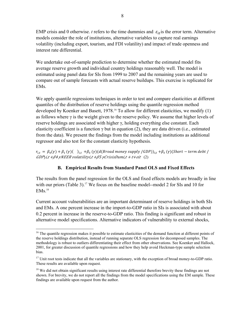EMP crisis and 0 otherwise. *t* refers to the time dummies and  $\varepsilon_{it}$  is the error term. Alternative models consider the role of institutions, alternative variables to capture real earnings volatility (including export, tourism, and FDI volatility) and impact of trade openness and interest rate differential.

We undertake out-of-sample prediction to determine whether the estimated model fits average reserve growth and individual country holdings reasonably well. The model is estimated using panel data for SIs from 1999 to 2007 and the remaining years are used to compare out of sample forecasts with actual reserve buildups. This exercise is replicated for EMs.

We apply quantile regressions techniques in order to test and compare elasticities at different quantiles of the distribution of reserve holdings using the quantile regression method developed by Koenker and Basett,  $1978<sup>16</sup>$  To allow for different elasticities, we modify (1) as follows where  $\gamma$  is the weight given to the reserve policy. We assume that higher levels of reserve holdings are associated with higher γ, holding everything else constant. Each elasticity coefficient is a function  $\gamma$  but in equation (2), they are data driven (i.e., estimated from the data). We present the findings from the model including institutions as additional regressor and also test for the constant elasticity hypothesis.

 $r_{i,t} = \beta_0(\gamma) + \beta_1(\gamma)$  $(i_t + \beta_3(\gamma))$  $(d(Broad money supply/GDP))_{i,t} + \beta_3(\gamma)$  $(Short-term debt /$  $GDP$ ) $i, t + \beta 4$   $\gamma$ NEER volatility $i, t + \beta 5$   $\gamma$ CrisisDumi $i, t + t + \varepsilon$ it  $(2)$ 

### **B. Empirical Results from Standard Panel OLS and Fixed Effects**

The results from the panel regression for the OLS and fixed effects models are broadly in line with our priors (Table 3).<sup>17</sup> We focus on the baseline model--model 2 for SIs and 10 for  $EMs<sup>18</sup>$ 

Current account vulnerabilities are an important determinant of reserve holdings in both SIs and EMs. A one percent increase in the import-to-GDP ratio in SIs is associated with about 0.2 percent in increase in the reserve-to-GDP ratio. This finding is significant and robust in alternative model specifications. Alternative indicators of vulnerability to external shocks,

<sup>&</sup>lt;sup>16</sup> The quantile regression makes it possible to estimate elasticities of the demand function at different points of the reserve holdings distribution, instead of running separate OLS regression for decomposed samples. The methodology is robust to outliers differentiating their effect from other observations. See Koenker and Hallock, 2001, for greater discussion of quantile regressions and how they help avoid Heckman-type sample selection bias.

 $17$  Unit root tests indicate that all the variables are stationary, with the exception of broad money-to-GDP ratio. These results are available upon request.

<sup>&</sup>lt;sup>18</sup> We did not obtain significant results using interest rate differential therefore brevity these findings are not shown. For brevity, we do not report all the findings from the model specifications using the EM sample. These findings are available upon request from the author.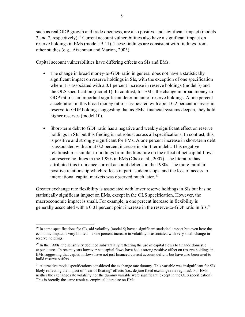such as real GDP growth and trade openness, are also positive and significant impact (models 3 and 7, respectively).19 Current account vulnerabilities also have a significant impact on reserve holdings in EMs (models 9-11). These findings are consistent with findings from other studies (e.g., Aizenman and Marion, 2003).

Capital account vulnerabilities have differing effects on SIs and EMs.

- The change in broad money-to-GDP ratio in general does not have a statistically significant impact on reserve holdings in SIs, with the exception of one specification where it is associated with a 0.1 percent increase in reserve holdings (model 3) and the OLS specification (model 1). In contrast, for EMs, the change in broad money-to-GDP ratio is an important significant determinant of reserve holdings. A one percent acceleration in this broad money ratio is associated with about 0.2 percent increase in reserve-to-GDP holdings suggesting that as EMs' financial systems deepen, they hold higher reserves (model 10).
- Short-term debt to GDP ratio has a negative and weakly significant effect on reserve holdings in SIs but this finding is not robust across all specifications. In contrast, this is positive and strongly significant for EMs. A one percent increase in short-term debt is associated with about 0.2 percent increase in short term debt. This negative relationship is similar to findings from the literature on the effect of net capital flows on reserve holdings in the 1980s in EMs (Choi et al., 2007). The literature has attributed this to finance current account deficits in the 1980s. The more familiar positive relationship which reflects in part "sudden stops: and the loss of access to international capital markets was observed much later.<sup>20</sup>

Greater exchange rate flexibility is associated with lower reserve holdings in SIs but has no statistically significant impact on EMs, except in the OLS specification. However, the macroeconomic impact is small. For example, a one percent increase in flexibility is generally associated with a 0.01 percent point increase in the reserve-to-GDP ratio in SIs.<sup>21</sup>

 $\overline{a}$ <sup>19</sup> In some specifications for SIs, aid volatility (model 5) have a significant statistical impact but even here the economic impact is very limited—a one percent increase in volatility is associated with very small change in reserve holdings.

 $20$  In the 1990s, the sensitivity declined substantially reflecting the use of capital flows to finance domestic expenditures. In recent years however net capital flows have had a strong positive effect on reserve holdings in EMs suggesting that capital inflows have not just financed current account deficits but have also been used to build reserve buffers.

<sup>&</sup>lt;sup>21</sup> Alternative model specifications considered the exchange rate dummy. This variable was insignificant for SIs likely reflecting the impact of "fear of floating" effects (i.e., de jure fixed exchange rate regimes). For EMs, neither the exchange rate volatility nor the dummy variable were significant (except in the OLS specification). This is broadly the same result as empirical literature on EMs.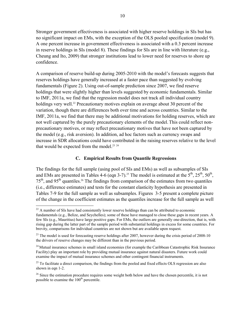Stronger government effectiveness is associated with higher reserve holdings in SIs but has no significant impact on EMs, with the exception of the OLS pooled specification (model 9). A one percent increase in government effectiveness is associated with a 0.3 percent increase in reserve holdings in SIs (model 8). These findings for SIs are in line with literature (e.g., Cheung and Ito, 2009) that stronger institutions lead to lower need for reserves to shore up confidence.

A comparison of reserve build-up during 2005-2010 with the model's forecasts suggests that reserves holdings have generally increased at a faster pace than suggested by evolving fundamentals (Figure 2). Using out-of-sample prediction since 2007, we find reserve holdings that were slightly higher than levels suggested by economic fundamentals. Similar to IMF, 2011a, we find that the regression model does not track all individual country holdings very well.<sup>22</sup> Precautionary motives explain on average about 30 percent of the variation, though there are differences both over time and across countries. Similar to the IMF, 2011a, we find that there may be additional motivations for holding reserves, which are not well captured by the purely precautionary elements of the model.This could reflect nonprecautionary motives, or may reflect precautionary motives that have not been captured by the model (e.g., risk aversion). In addition, ad hoc factors such as currency swaps and increase in SDR allocations could have contributed in the raising reserves relative to the level that would be expected from the model.<sup>23 24</sup>

#### **C. Empirical Results from Quantile Regressions**

The findings for the full sample (using pool of SIs and EMs) as well as subsamples of SIs and EMs are presented in Tables 4-6 (eqn 3-7).<sup>25</sup> The model is estimated at the  $5<sup>th</sup>$ ,  $25<sup>th</sup>$ ,  $50<sup>th</sup>$ ,  $75<sup>th</sup>$ , and 95<sup>th</sup> quantiles.<sup>26</sup> The findings from comparison of the estimates from two quantiles (i.e., difference estimates) and tests for the constant elasticity hypothesis are presented in Tables 7-9 for the full sample as well as subsamples. Figures 3-5 present a complete picture of the change in the coefficient estimates as the quantiles increase for the full sample as well

1

 $22$  A number of SIs have had consistently lower reserve holdings than can be attributed to economic fundamentals (e.g., Belize, and Seychelles); some of these have managed to close these gaps in recent years. A few SIs (e.g., Mauritius) have large positive gaps. For EMs, the outliers are generally one-direction, that is, with rising gap during the latter part of the sample period with substantial holdings in excess for some countries. For brevity, comparisons for individual countries are not shown but are available upon request.

 $^{23}$  The model is used for forecasting reserve holdings after 2007, however during the crisis period of 2008-10 the drivers of reserve changes may be different than in the previous period.

 $^{24}$  Mutual insurance schemes in small island economies (for example the Caribbean Catastrophic Risk Insurance Facility) play an important role by providing mutual insurance against natural disasters. Future work could examine the impact of mutual insurance schemes and other contingent financial instruments.

 $^{25}$  To facilitate a direct comparison, the findings from the pooled and fixed effects OLS regression are also shown in eqn 1-2.

<sup>&</sup>lt;sup>26</sup> Since the estimation procedure requires some weight both below and have the chosen percentile, it is not possible to examine the 100<sup>th</sup> percentile.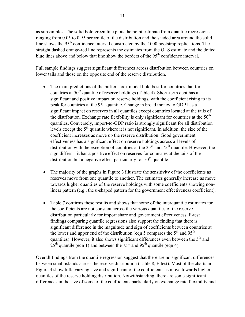as subsamples. The solid bold green line plots the point estimate from quantile regressions ranging from 0.05 to 0.95 percentile of the distribution and the shaded area around the solid line shows the  $95<sup>th</sup>$  confidence interval constructed by the 1000 bootstrap replications. The straight dashed orange-red line represents the estimates from the OLS estimate and the dotted blue lines above and below that line show the borders of the  $95<sup>th</sup>$  confidence interval.

Full sample findings suggest significant differences across distribution between countries on lower tails and those on the opposite end of the reserve distribution.

- The main predictions of the buffer stock model hold best for countries that for countries at  $50<sup>th</sup>$  quantile of reserve holdings (Table 4). Short-term debt has a significant and positive impact on reserve holdings, with the coefficient rising to its peak for countries at the 95<sup>th</sup> quantile. Change in broad money to GDP has a significant impact on reserves in all quantiles except countries located at the tails of the distribution. Exchange rate flexibility is only significant for countries at the  $50<sup>th</sup>$ quantiles. Conversely, import-to-GDP ratio is strongly significant for all distribution levels except the  $5<sup>th</sup>$  quantile where it is not significant. In addition, the size of the coefficient increases as move up the reserve distribution. Good government effectiveness has a significant effect on reserve holdings across all levels of distribution with the exception of countries at the  $25<sup>th</sup>$  and  $75<sup>th</sup>$  quantile. However, the sign differs—it has a positive effect on reserves for countries at the tails of the distribution but a negative effect particularly for  $50<sup>th</sup>$  quantile.
- The majority of the graphs in Figure 3 illustrate the sensitivity of the coefficients as reserves move from one quantile to another. The estimates generally increase as move towards higher quantiles of the reserve holdings with some coefficients showing nonlinear pattern (e.g., the u-shaped pattern for the government effectiveness coefficient).
- Table 7 confirms these results and shows that some of the interquantile estimates for the coefficients are not constant across the various quantiles of the reserve distribution particularly for import share and government effectiveness. F-test findings comparing quantile regressions also support the finding that there is significant difference in the magnitude and sign of coefficients between countries at the lower and upper end of the distribution (eqn 5 compares the  $5<sup>th</sup>$  and  $95<sup>th</sup>$ ) quantiles). However, it also shows significant differences even between the  $5<sup>th</sup>$  and  $25<sup>th</sup>$  quantile (eqn 1) and between the 75<sup>th</sup> and 95<sup>th</sup> quantile (eqn 4).

Overall findings from the quantile regression suggest that there are no significant differences between small islands across the reserve distribution (Table 8, F-test). Most of the charts in Figure 4 show little varying size and significant of the coefficients as move towards higher quantiles of the reserve holding distribution. Notwithstanding, there are some significant differences in the size of some of the coefficients particularly on exchange rate flexibility and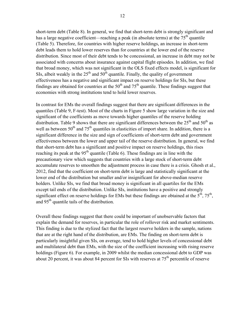short-term debt (Table 8). In general, we find that short-term debt is strongly significant and has a large negative coefficient—reaching a peak (in absolute terms) at the  $75<sup>th</sup>$  quantile (Table 5). Therefore, for countries with higher reserve holdings, an increase in short-term debt leads them to hold lower reserves than for countries at the lower end of the reserve distribution. Since most of their debt tends to be concessional, an increase in debt may not be associated with concerns about insurance against capital flight episodes. In addition, we find that broad money, which was not significant in the OLS fixed effects model, is significant for SIs, albeit weakly in the  $25<sup>th</sup>$  and  $50<sup>th</sup>$  quantile. Finally, the quality of government effectiveness has a negative and significant impact on reserve holdings for SIs, but these findings are obtained for countries at the  $50<sup>th</sup>$  and  $75<sup>th</sup>$  quantile. These findings suggest that economies with strong institutions tend to hold lower reserves.

In contrast for EMs the overall findings suggest that there are significant differences in the quantiles (Table 9, F-test). Most of the charts in Figure 5 show large variation in the size and significant of the coefficients as move towards higher quantiles of the reserve holding distribution. Table 9 shows that there are significant differences between the  $25<sup>th</sup>$  and  $50<sup>th</sup>$  as well as between  $50<sup>th</sup>$  and  $75<sup>th</sup>$  quantiles in elasticities of import share. In addition, there is a significant difference in the size and sign of coefficients of short-term debt and government effectiveness between the lower and upper tail of the reserve distribution. In general, we find that short-term debt has a significant and positive impact on reserve holdings, this rises reaching its peak at the  $95<sup>th</sup>$  quantile (Table 6). These findings are in line with the precautionary view which suggests that countries with a large stock of short-term debt accumulate reserves to smoothen the adjustment process in case there is a crisis. Ghosh et al., 2012, find that the coefficient on short-term debt is large and statistically significant at the lower end of the distribution but smaller and/or insignificant for above-median reserve holders. Unlike SIs, we find that broad money is significant in all quartiles for the EMs except tail ends of the distribution. Unlike SIs, institutions have a positive and strongly significant effect on reserve holdings for EMs but these findings are obtained at the  $5<sup>th</sup>$ ,  $75<sup>th</sup>$ , and 95<sup>th</sup> quantile tails of the distribution.

Overall these findings suggest that there could be important of unobservable factors that explain the demand for reserves, in particular the role of rollover risk and market sentiments. This finding is due to the stylized fact that the largest reserve holders in the sample, nations that are at the right hand of the distribution, are EMs. The finding on short-term debt is particularly insightful given SIs, on average, tend to hold higher levels of concessional debt and multilateral debt than EMs, with the size of the coefficient increasing with rising reserve holdings (Figure 6). For example, in 2009 whilst the median concessional debt to GDP was about 20 percent, it was about 84 percent for SIs with reserves at  $75<sup>th</sup>$  percentile of reserve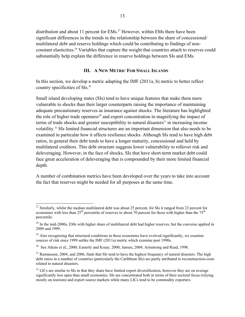distribution and about 11 percent for EMs.<sup>27</sup> However, within EMs there have been significant differences in the trends in the relationship between the share of concessional/ multilateral debt and reserve holdings which could be contributing to findings of nonconstant elasticities.28 Variables that capture the weight that countries attach to reserves could substantially help explain the difference in reserve holdings between SIs and EMs.

#### **III. A NEW METRIC FOR SMALL ISLANDS**

In this section, we develop a metric adapting the IMF (2011a, b) metric to better reflect country specificities of SIs.29

Small island developing states (SIs) tend to have unique features that make them more vulnerable to shocks than their larger counterparts raising the importance of maintaining adequate precautionary reserves as insurance against shocks. The literature has highlighted the role of higher trade openness<sup>30</sup> and export concentration in magnifying the impact of terms of trade shocks and greater susceptibility to natural disasters<sup>31</sup> in increasing income volatility.32 SIs limited financial structures are an important dimension that also needs to be examined in particular how it affects resilience shocks. Although SIs tend to have high debt ratios, in general their debt tends to have a longer maturity, concessional and held by multilateral creditors. This debt structure suggests lower vulnerability to rollover risk and deleveraging. However, in the face of shocks, SIs that have short-term market debt could face great acceleration of deleveraging that is compounded by their more limited financial depth.

A number of combination metrics have been developed over the years to take into account the fact that reserves might be needed for all purposes at the same time.

1

<sup>&</sup>lt;sup>27</sup> Similarly, whilst the median multilateral debt was about 25 percent, for SIs it ranged from 22 percent for economies with less than  $25<sup>th</sup>$  percentile of reserves to about 70 percent for those with higher than the 75<sup>th</sup> percentile.

 $28$  In the mid-2000s, EMs with higher share of multilateral debt had higher reserves, but the converse applied in 2009 and 1999.

 $^{29}$  Also recognizing that structural conditions in these economies have evolved significantly, we examine sources of risk since 1999 unlike the IMF (2011a) metric which examine post 1990s.

 $30$  See Atkins et al., 2000; Easterly and Kraay, 2000; Jansen, 2004; Armstrong and Read, 1998.

<sup>&</sup>lt;sup>31</sup> Rasmussen, 2004, and 2006, finds that SIs tend to have the highest frequency of natural disasters. The high debt ratios in a number of countries (particularly the Caribbean SIs) are partly attributed to reconstruction-costs related to natural disasters.

 $32$  LICs are similar to SIs in that they share have limited export diversification, however they are on average significantly less open than small economies. SIs are concentrated both in terms of their sectoral focus (relying mostly on tourism) and export source markets while many LICs tend to be commodity exporters.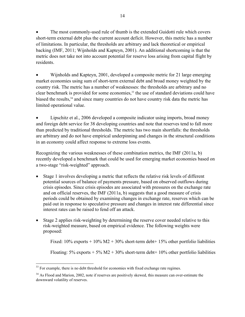The most commonly-used rule of thumb is the extended Guidotti rule which covers short-term external debt plus the current account deficit. However, this metric has a number of limitations. In particular, the thresholds are arbitrary and lack theoretical or empirical backing (IMF, 2011; Wijnholds and Kapteyn, 2001). An additional shortcoming is that the metric does not take not into account potential for reserve loss arising from capital flight by residents.

 Wijnholds and Kapteyn, 2001, developed a composite metric for 21 large emerging market economies using sum of short-term external debt and broad money weighted by the country risk. The metric has a number of weaknesses: the thresholds are arbitrary and no clear benchmark is provided for some economies,<sup>33</sup> the use of standard deviations could have biased the results,<sup>34</sup> and since many countries do not have country risk data the metric has limited operational value.

 Lipschitz et al., 2006 developed a composite indicator using imports, broad money and foreign debt service for 38 developing countries and note that reserves tend to fall more than predicted by traditional thresholds. The metric has two main shortfalls: the thresholds are arbitrary and do not have empirical underpinning and changes in the structural conditions in an economy could affect response to extreme loss events.

Recognizing the various weaknesses of these combination metrics, the IMF (2011a, b) recently developed a benchmark that could be used for emerging market economies based on a two-stage "risk-weighted" approach.

- Stage 1 involves developing a metric that reflects the relative risk levels of different potential sources of balance of payments pressure, based on observed outflows during crisis episodes. Since crisis episodes are associated with pressures on the exchange rate and on official reserves, the IMF (2011a, b) suggests that a good measure of crisis periods could be obtained by examining changes in exchange rate, reserves which can be paid out in response to speculative pressure and changes in interest rate differential since interest rates can be raised to fend off an attack.
- Stage 2 applies risk-weighting by determining the reserve cover needed relative to this risk-weighted measure, based on empirical evidence. The following weights were proposed:

Fixed:  $10\%$  exports +  $10\%$  M2 +  $30\%$  short-term debt+  $15\%$  other portfolio liabilities

Floating:  $5\%$  exports  $+ 5\%$  M2  $+ 30\%$  short-term debt $+ 10\%$  other portfolio liabilities

<u>.</u>

 $33$  For example, there is no debt threshold for economies with fixed exchange rate regimes.

<sup>&</sup>lt;sup>34</sup> As Flood and Marion, 2002, note if reserves are positively skewed, this measure can over-estimate the downward volatility of reserves.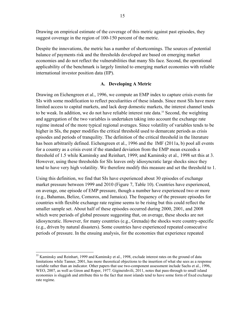Drawing on empirical estimate of the coverage of this metric against past episodes, they suggest coverage in the region of 100-150 percent of the metric.

Despite the innovations, the metric has a number of shortcomings. The sources of potential balance of payments risk and the thresholds developed are based on emerging market economies and do not reflect the vulnerabilities that many SIs face. Second, the operational applicability of the benchmark is largely limited to emerging market economies with reliable international investor position data (IIP).

#### **A. Developing A Metric**

Drawing on Eichengreen et al., 1996, we compute an EMP index to capture crisis events for SIs with some modification to reflect peculiarities of these islands. Since most SIs have more limited access to capital markets, and lack deep domestic markets, the interest channel tends to be weak. In addition, we do not have reliable interest rate data.<sup>35</sup> Second, the weighting and aggregation of the two variables is undertaken taking into account the exchange rate regime instead of the more typical regional averages. Since volatility of variables tends to be higher in SIs, the paper modifies the critical threshold used to demarcate periods as crisis episodes and periods of tranquility. The definition of the critical threshold in the literature has been arbitrarily defined. Eichengreen et al., 1996 and the IMF (2011a, b) pool all events for a country as a crisis event if the standard deviation from the EMP mean exceeds a threshold of 1.5 while Kaminsky and Reinhart, 1999; and Kaminsky et al.*,* 1998 set this at 3. However, using these thresholds for SIs leaves only idiosyncratic large shocks since they tend to have very high volatility. We therefore modify this measure and set the threshold to 1.

Using this definition, we find that SIs have experienced about 30 episodes of exchange market pressure between 1999 and 2010 (Figure 7, Table 10). Countries have experienced, on average, one episode of EMP pressure, though a number have experienced two or more (e.g., Bahamas, Belize, Comoros, and Jamaica). The frequency of the pressure episodes for countries with flexible exchange rate regime seems to be rising but this could reflect the smaller sample set. About half of these episodes occurred during 2000, 2001, and 2008 which were periods of global pressure suggesting that, on average, these shocks are not idiosyncratic. However, for many countries (e.g., Grenada) the shocks were country-specific (e.g., driven by natural disasters). Some countries have experienced repeated consecutive periods of pressure. In the ensuing analysis, for the economies that experience repeated

<sup>&</sup>lt;sup>35</sup> Kaminsky and Reinhart, 1999 and Kaminsky et al., 1998, exclude interest rates on the ground of data limitations while Tanner, 2001, has more theoretical objections to the insertion of what she sees as a response variable rather than an indicator. Other papers that use two-component assessment include Sachs et al., 1996, WEO, 2007, as well as Giron and Roper, 1977. Gigineishvili, 2011, notes that pass-through to small island economies is sluggish and attribute this to the fact that most islands tend to have some form of fixed exchange rate regime.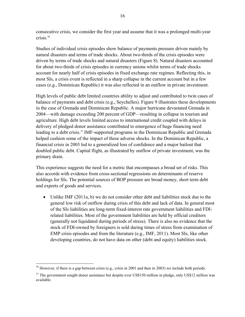consecutive crisis, we consider the first year and assume that it was a prolonged multi-year crisis.36

Studies of individual crisis episodes show balance of payments pressure driven mainly by natural disasters and terms of trade shocks. About two-thirds of the crisis episodes were driven by terms of trade shocks and natural disasters (Figure 8). Natural disasters accounted for about two-thirds of crisis episodes in currency unions whilst terms of trade shocks account for nearly half of crisis episodes in fixed exchange rate regimes. Reflecting this, in most SIs, a crisis event is reflected in a sharp collapse in the current account but in a few cases (e.g., Dominican Republic) it was also reflected in an outflow in private investment.

High levels of public debt limited countries ability to adjust and contributed to twin cases of balance of payments and debt crisis (e.g., Seychelles). Figure 9 illustrates these developments in the case of Grenada and Dominican Republic. A major hurricane devastated Grenada in 2004—with damage exceeding 200 percent of GDP—resulting in collapse in tourism and agriculture. High debt levels limited access to international credit coupled with delays in delivery of pledged donor assistance contributed to emergence of huge financing need leading to a debt crisis.<sup>37</sup> IMF-supported programs in the Dominican Republic and Grenada helped cushion some of the impact of these adverse shocks. In the Dominican Republic, a financial crisis in 2003 led to a generalized loss of confidence and a major bailout that doubled public debt. Capital flight, as illustrated by outflow of private investment, was the primary drain.

This experience suggests the need for a metric that encompasses a broad set of risks. This also accords with evidence from cross-sectional regressions on determinants of reserve holdings for SIs. The potential sources of BOP pressure are broad money, short term debt and exports of goods and services.

 Unlike IMF (2011a, b) we do not consider other debt and liabilities stock due to the general low risk of outflow during crisis of this debt and lack of data. In general most of the SIs liabilities are long-term fixed-interest rate government liabilities and FDIrelated liabilities. Most of the government liabilities are held by official creditors (generally not liquidated during periods of stress). There is also no evidence that the stock of FDI-owned by foreigners is sold during times of stress from examination of EMP crisis episodes and from the literature (e.g., IMF, 2011). Most SIs, like other developing countries, do not have data on other (debt and equity) liabilities stock.

 $36$  However, if there is a gap between crisis (e.g., crisis in 2001 and then in 2003) we include both periods.

<sup>&</sup>lt;sup>37</sup> The government sought donor assistance but despite over US\$150 million in pledge, only US\$12 million was available.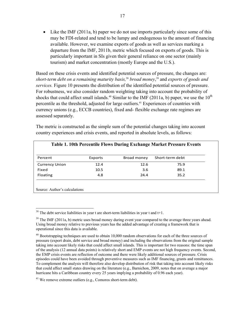$\bullet$  Like the IMF (2011a, b) paper we do not use imports particularly since some of this may be FDI-related and tend to be lumpy and endogenous to the amount of financing available. However, we examine exports of goods as well as services marking a departure from the IMF, 2011b, metric which focused on exports of goods. This is particularly important in SIs given their general reliance on one sector (mainly tourism) and market concentration (mostly Europe and the U.S.).

Based on these crisis events and identified potential sources of pressure, the changes are: *short-term debt on a remaining maturity basis,*<sup>38</sup> *broad money*, 39 and *exports of goods and services.* Figure 10 presents the distribution of the identified potential sources of pressure. For robustness, we also consider random weighting taking into account the probability of shocks that could affect small islands.<sup>40</sup> Similar to the IMF (2011a, b) paper, we use the  $10<sup>th</sup>$ percentile as the threshold, adjusted for large outliers.<sup>41</sup> Experiences of countries with currency unions (e.g., ECCB countries), fixed and- flexible exchange rate regimes are assessed separately.

The metric is constructed as the simple sum of the potential changes taking into account country experiences and crisis events, and reported in absolute levels, as follows:

| Percent               | Exports | Broad money | Short-term debt |
|-----------------------|---------|-------------|-----------------|
| <b>Currency Union</b> | 12.4    | 12.6        | 75.9            |
| Fixed                 | 10.5    | 3.6         | 89.1            |
| Floating              | 4.8     | 24.4        | 35.2            |

 $38$  The debt service liabilities in year t are short-term liabilities in year t and t+1.

<sup>&</sup>lt;sup>39</sup> The IMF (2011a, b) metric uses broad money during event year compared to the average three years ahead. Using broad money relative to previous years has the added advantage of creating a framework that is operational since this data is available.

 $40$  Bootstrapping techniques are used to obtain 10,000 random observations for each of the three sources of pressure (export drain, debt service and broad money) and including the observations from the original sample taking into account likely risks that could affect small islands. This is important for two reasons: the time span of the analysis (12 annual data points) is relatively short and EMP events are not high frequency events. Second, the EMP crisis events are reflection of outcome and there were likely additional sources of pressure. Crisis episodes could have been avoided through preventive measures such as IMF financing, grants and remittances. To complement the analysis will therefore also develop distribution of risk that taking into account likely risks that could affect small states drawing on the literature (e.g., Barnichon, 2009, notes that on average a major hurricane hits a Caribbean country every 25 years implying a probability of 0.96 each year).

<sup>41</sup> We remove extreme outliers (e.g., Comoros short-term debt).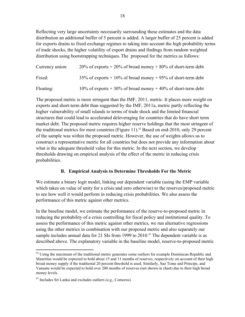Reflecting very large uncertainty necessarily surrounding these estimates and the data distribution an additional buffer of 5 percent is added. A larger buffer of 25 percent is added for exports drains to fixed exchange regimes to taking into account the high probability terms of trade shocks, the higher volatility of export drains and findings from random weighted distribution using bootstrapping techniques.The proposed for the metrics as follows:

| Currency union: | $20\%$ of exports + 20% of broad money + 80% of short-term debt  |
|-----------------|------------------------------------------------------------------|
| Fixed:          | $35\%$ of exports + 10% of broad money + 95% of short-term debt  |
| Floating:       | 10% of exports $+30\%$ of broad money $+40\%$ of short-term debt |

The proposed metric is more stringent than the IMF, 2011, metric. It places more weight on exports and short-term debt than suggested by the IMF, 2011a, metric partly reflecting the higher vulnerability of small islands to terms of trade shock and the limited financial structures that could lead to accelerated deleveraging for countries that do have short term market debt. The proposed metric requires higher reserve holdings that the most stringent of the traditional metrics for most countries (Figure 11).<sup>42</sup> Based on end-2010, only 29 percent of the sample was within the proposed metric. However, the use of weights allows us to construct a representative metric for all countries but does not provide any information about what is the adequate threshold value for this metric. In the next section, we develop thresholds drawing on empirical analysis of the effect of the metric in reducing crisis probabilities.

#### **B. Empirical Analysis to Determine Thresholds For the Metric**

We estimate a binary logit model, linking our dependent variable (using the EMP variable which takes on value of unity for a crisis and zero otherwise) to the reserves/proposed metric to see how well it would perform in reducing crisis probabilities. We also assess the performance of this metric against other metrics.

In the baseline model, we estimate the performance of the reserve-to-proposed metric in reducing the probability of a crisis controlling for fiscal policy and institutional quality. To assess the performance of this metric against other metrics, we run alternative regressions using the other metrics in combination with our proposed metric and also separately our sample includes annual data for 21 SIs from 1999 to 2010.<sup>43</sup> The dependent variable is as described above. The explanatory variable in the baseline model, reserve-to-proposed metric

 $\overline{a}$ <sup>42</sup> Using the maximum of the traditional metric generates some outliers for example Dominican Republic and Mauritius would be expected to hold about 15 and 11 months of reserves, respectively on account of their high broad money supply if the traditional 20 percent threshold is used. Similarly, Sao Tome and Principe, and Vanuatu would be expected to hold over 200 months of reserves (not shown in chart) due to their high broad money levels.

<sup>&</sup>lt;sup>43</sup> Includes Sri Lanka and excludes outliers (e.g., Comoros).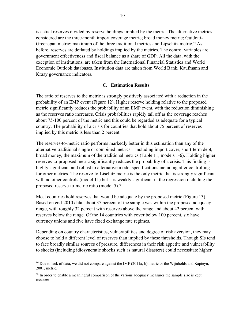is actual reserves divided by reserve holdings implied by the metric. The alternative metrics considered are the three-month import coverage metric; broad money metric; Guidotti-Greenspan metric; maximum of the three traditional metrics and Lipschitz metric.<sup>44</sup> As before, reserves are deflated by holdings implied by the metrics. The control variables are government effectiveness and fiscal balance as a share of GDP. All the data, with the exception of institutions, are taken from the International Financial Statistics and World Economic Outlook databases. Institution data are taken from World Bank, Kaufmann and Kraay governance indicators.

#### **C. Estimation Results**

The ratio of reserves to the metric is strongly positively associated with a reduction in the probability of an EMP event (Figure 12). Higher reserve holding relative to the proposed metric significantly reduces the probability of an EMP event, with the reduction diminishing as the reserves ratio increases. Crisis probabilities rapidly tail off as the coverage reaches about 75-100 percent of the metric and this could be regarded as adequate for a typical country. The probability of a crisis for countries that hold about 75 percent of reserves implied by this metric is less than 2 percent.

The reserves-to-metric ratio performs markedly better in this estimation than any of the alternative traditional single or combined metrics—including import cover, short-term debt, broad money, the maximum of the traditional metrics (Table 11, models 1-6). Holding higher reserves-to-proposed metric significantly reduces the probability of a crisis. This finding is highly significant and robust to alternative model specifications including after controlling for other metrics. The reserve-to-Lischitz metric is the only metric that is strongly significant with no other controls (model 11) but it is weakly significant in the regression including the proposed reserve-to-metric ratio (model 5).<sup>45</sup>

Most countries hold reserves that would be adequate by the proposed metric (Figure 13). Based on end-2010 data, about 37 percent of the sample was within the proposed adequacy range, with roughly 32 percent with reserves above the range and about 42 percent with reserves below the range. Of the 14 countries with cover below 100 percent, six have currency unions and five have fixed exchange rate regimes.

Depending on country characteristics, vulnerabilities and degree of risk aversion, they may choose to hold a different level of reserves than implied by these thresholds. Though SIs tend to face broadly similar sources of pressure, differences in their risk appetite and vulnerability to shocks (including idiosyncratic shocks such as natural disasters) could necessitate higher

 $44$  Due to lack of data, we did not compare against the IMF (2011a, b) metric or the Wijnholds and Kapteyn, 2001, metric.

<sup>&</sup>lt;sup>45</sup> In order to enable a meaningful comparison of the various adequacy measures the sample size is kept constant.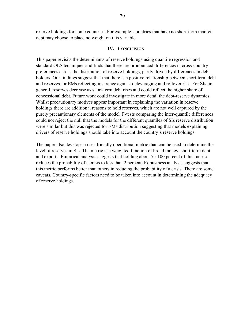reserve holdings for some countries. For example, countries that have no short-term market debt may choose to place no weight on this variable.

#### **IV. CONCLUSION**

This paper revisits the determinants of reserve holdings using quantile regression and standard OLS techniques and finds that there are pronounced differences in cross-country preferences across the distribution of reserve holdings, partly driven by differences in debt holders. Our findings suggest that that there is a positive relationship between short-term debt and reserves for EMs reflecting insurance against deleveraging and rollover risk. For SIs, in general, reserves decrease as short-term debt rises and could reflect the higher share of concessional debt. Future work could investigate in more detail the debt-reserve dynamics. Whilst precautionary motives appear important in explaining the variation in reserve holdings there are additional reasons to hold reserves, which are not well captured by the purely precautionary elements of the model. F-tests comparing the inter-quantile differences could not reject the null that the models for the different quantiles of SIs reserve distribution were similar but this was rejected for EMs distribution suggesting that models explaining drivers of reserve holdings should take into account the country's reserve holdings.

The paper also develops a user-friendly operational metric than can be used to determine the level of reserves in SIs. The metric is a weighted function of broad money, short-term debt and exports. Empirical analysis suggests that holding about 75-100 percent of this metric reduces the probability of a crisis to less than 2 percent. Robustness analysis suggests that this metric performs better than others in reducing the probability of a crisis. There are some caveats. Country-specific factors need to be taken into account in determining the adequacy of reserve holdings.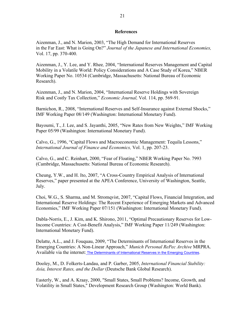#### **References**

Aizenman, J., and N. Marion, 2003, "The High Demand for International Reserves in the Far East: What is Going On?" *Journal of the Japanese and International Economies,*  Vol. 17, pp. 370-400.

Aizenman, J., Y. Lee, and Y. Rhee*,* 2004, "International Reserves Management and Capital Mobility in a Volatile World: Policy Considerations and A Case Study of Korea," NBER Working Paper No. 10534 (Cambridge, Massachusetts: National Bureau of Economic Research).

Aizenman, J., and N. Marion, 2004, "International Reserve Holdings with Sovereign Risk and Costly Tax Collection," *Economic Journal,* Vol. 114, pp. 569-91.

Barnichon, R., 2008, "International Reserves and Self-Insurance against External Shocks," IMF Working Paper 08/149 (Washington: International Monetary Fund).

Bayoumi, T., J. Lee, and S. Jayanthi, 2005, "New Rates from New Weights," IMF Working Paper 05/99 (Washington: International Monetary Fund).

Calvo, G., 1996, "Capital Flows and Macroeconomic Management: Tequila Lessons," *International Journal of Finance and Economics,* Vol. 1, pp. 207-23.

Calvo, G., and C. Reinhart, 2000, "Fear of Floating," NBER Working Paper No. 7993 (Cambridge, Massachusetts: National Bureau of Economic Research).

Cheung, Y.W., and H. Ito, 2007, "A Cross-Country Empirical Analysis of International Reserves," paper presented at the APEA Conference, University of Washington, Seattle, July.

Choi, W.G., S. Sharma, and M. Stromqvist, 2007, "Capital Flows, Financial Integration, and International Reserve Holdings: The Recent Experience of Emerging Markets and Advanced Economies," IMF Working Paper 07/151 (Washington: International Monetary Fund).

Dabla-Norris, E., J. Kim, and K. Shirono, 2011, "Optimal Precautionary Reserves for Low-Income Countries: A Cost-Benefit Analysis," IMF Working Paper 11/249 (Washington: International Monetary Fund).

Delatte, A.L., and J. Fouquau, 2009, "The Determinants of International Reserves in the Emerging Countries: A Non-Linear Approach," *Munich Personal RePec Archive* MRPRA. Available via the internet: The Determinants of International Reserves in the Emerging Countries.

Dooley, M., D. Folkerts-Landau, and P. Garber, 2005, *International Financial Stability: Asia, Interest Rates, and the Dollar* (Deutsche Bank Global Research).

Easterly, W., and A. Kraay, 2000, "Small States, Small Problems? Income, Growth, and Volatility in Small States," Development Research Group (Washington: World Bank).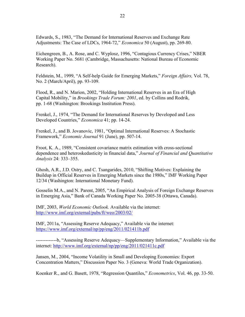Edwards, S., 1983, "The Demand for International Reserves and Exchange Rate Adjustments: The Case of LDCs, 1964-72," *Economica* 50 (August), pp. 269-80.

Eichengreen, B., A. Rose, and C. Wyplosz, 1996, "Contagious Currency Crises," NBER Working Paper No. 5681 (Cambridge, Massachusetts: National Bureau of Economic Research).

Feldstein, M., 1999, "A Self-help Guide for Emerging Markets," *Foreign Affairs,* Vol. 78, No. 2 (March/April), pp. 93-109.

Flood, R., and N. Marion, 2002, "Holding International Reserves in an Era of High Capital Mobility," in *Brookings Trade Forum: 2001*, ed. by Collins and Rodrik, pp. 1-68 (Washington: Brookings Institution Press).

Frenkel, J., 1974, "The Demand for International Reserves by Developed and Less Developed Countries," *Economica* 41; pp. 14-24.

Frenkel, J., and B. Jovanovic, 1981, "Optimal International Reserves: A Stochastic Framework," *Economic Journal* 91 (June), pp. 507-14.

Froot, K. A., 1989, "Consistent covariance matrix estimation with cross-sectional dependence and heteroskedasticity in financial data," *Journal of Financial and Quantitative Analysis* 24: 333–355.

Ghosh, A.R., J.D. Ostry, and C. Tsangarides, 2010, "Shifting Motives: Explaining the Buildup in Official Reserves in Emerging Markets since the 1980s," IMF Working Paper 12/34 (Washington: International Monetary Fund).

Gosselin M.A., and N. Parent, 2005, "An Empirical Analysis of Foreign Exchange Reserves in Emerging Asia," Bank of Canada Working Paper No. 2005-38 (Ottawa, Canada).

IMF, 2003, *World Economic Outlook.* Available via the internet: http://www.imf.org/external/pubs/ft/weo/2003/02/

IMF, 2011a, "Assessing Reserve Adequacy," Available via the internet: https://www.imf.org/external/np/pp/eng/2011/021411b.pdf

-------------b, "Assessing Reserve Adequacy—Supplementary Information," Available via the internet: http://www.imf.org/external/np/pp/eng/2011/021411c.pdf

Jansen, M., 2004, "Income Volatility in Small and Developing Economies: Export Concentration Matters," Discussion Paper No. 3 (Geneva: World Trade Organization).

Koenker R., and G. Basett, 1978, "Regression Quantiles," *Econometrics*, Vol. 46, pp. 33-50.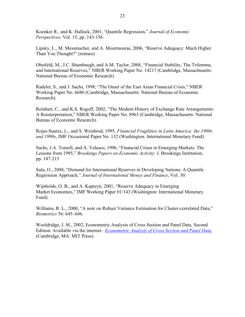Koenker R., and K. Hallock, 2001, 'Quantile Regression," *Journal of Economic Perspectives,* Vol. 15, pp. 143-156.

Lipsky, L., M. Messmacher, and A. Mourmouras, 2006, "Reserve Adequacy: Much Higher Than You Thought?" (mimeo)

Obstfeld, M., J.C. Shambaugh, and A.M. Taylor, 2008, "Financial Stability, The Trilemma, and International Reserves," NBER Working Paper No. 14217 (Cambridge, Massachusetts: National Bureau of Economic Research).

Radelet, S., and J. Sachs, 1998, "The Onset of the East Asian Financial Crisis," NBER Working Paper No. 6680 (Cambridge, Massachusetts: National Bureau of Economic Research).

Reinhart, C., and K.S. Rogoff, 2002, "The Modern History of Exchange Rate Arrangements: A Reinterpretation," NBER Working Paper No. 8963 (Cambridge, Massachusetts: National Bureau of Economic Research).

Rojas-Suarex, L., and S. Weisbrod, 1995, *Financial Fragilities in Latin America: the 1980s and 1990s*, IMF Occasional Paper No. 132 (Washington: International Monetary Fund).

Sachs, J.A. Tornell, and A. Velasco, 1996, "Financial Crises in Emerging Markets: The Lessons from 1995," *Brookings Papers on Economic Activity: I,* Brookings Institution, pp. 147-215

Sula, O., 2008, "Demand for International Reserves in Developing Nations: A Quantile Regression Approach," *Journal of International Money and Finance*, Vol. 30.

Wijnholds, O. B., and A. Kapteyn, 2001, "Reserve Adequacy in Emerging Market Economies," IMF Working Paper 01/143 (Washington: International Monetary Fund).

Williams, R. L., 2000, "A note on Robust Variance Estimation for Cluster-correlated Data," *Biometrics* 56: 645–646.

Wooldridge, J. M., 2002, Econometric Analysis of Cross Section and Panel Data, Second Edition. Available via the internet: *Econometric Analysis of Cross Section and Panel Data.* (Cambridge, MA: MIT Press).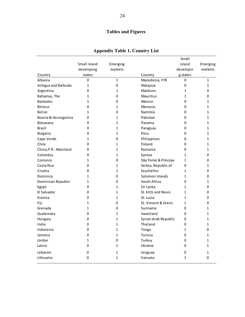## **Tables and Figures**

|                       |              |              |                            | Small        |              |
|-----------------------|--------------|--------------|----------------------------|--------------|--------------|
|                       | Small island | Emerging     |                            | island       | Emerging     |
|                       | developing   | markets      |                            | developin    | markets      |
| Country               | states       |              | Country                    | g states     |              |
| Albania               | 0            | $\mathbf{1}$ | Macedonia, FYR             | 0            | 1            |
| Antigua and Barbuda   | 1            | 0            | Malaysia                   | $\mathbf 0$  | 1            |
| Argentina             | 0            | 1            | <b>Maldives</b>            | $\mathbf{1}$ | 0            |
| Bahamas, The          | 1            | 0            | <b>Mauritius</b>           | $\mathbf{1}$ | 0            |
| <b>Barbados</b>       | 1            | 0            | Mexico                     | 0            | 1            |
| <b>Belarus</b>        | 0            | 1            | Morocco                    | 0            | 1            |
| Belize                | 1            | 0            | Namibia                    | 0            | 1            |
| Bosnia & Herzegovina  | 0            | $\mathbf{1}$ | Pakistan                   | 0            | 1            |
| <b>Botswana</b>       | 0            | 1            | Panama                     | 0            | 1            |
| <b>Brazil</b>         | 0            | $\mathbf{1}$ | Paraguay                   | 0            | 1            |
| <b>Bulgaria</b>       | 0            | $\mathbf 1$  | Peru                       | 0            | $\mathbf 1$  |
| Cape Verde            | 1            | 0            | Philippines                | 0            | 1            |
| Chile                 | 0            | 1            | Poland                     | 0            | 1            |
| China, P.R.: Mainland | 0            | 1            | Romania                    | $\Omega$     | 1            |
| Colombia              | 0            | $\mathbf{1}$ | Samoa                      | $\mathbf{1}$ | 0            |
| Comoros               | 1            | 0            | São Tomé & Príncipe        | $\mathbf{1}$ | 0            |
| Costa Rica            | 0            | 1            | Serbia, Republic of        | 0            | 1            |
| Croatia               | 0            | 1            | Seychelles                 | $\mathbf{1}$ | 0            |
| Dominica              | 1            | 0            | Solomon Islands            | $\mathbf{1}$ | 0            |
| Dominican Republic    | 1            | 0            | South Africa               | 0            | 1            |
| Egypt                 | 0            | $\mathbf{1}$ | Sri Lanka                  | $\mathbf{1}$ | 0            |
| El Salvador           | 0            | 1            | <b>St. Kitts and Nevis</b> | 1            | 0            |
| Estonia               | 0            | $\mathbf{1}$ | St. Lucia                  | $\mathbf{1}$ | 0            |
| Fiji                  | 1            | 0            | St. Vincent & Grens.       | 1            | 0            |
| Grenada               | $\mathbf{1}$ | 0            | Suriname                   | $\mathbf{0}$ | 1            |
| Guatemala             | 0            | 1            | Swaziland                  | 0            | 1            |
| Hungary               | 0            | $\mathbf{1}$ | Syrian Arab Republic       | $\mathbf{0}$ | 1            |
| India                 | 0            | 1            | Thailand                   | 0            | 1            |
| Indonesia             | 0            | 1            | Tonga                      | $\mathbf{1}$ | 0            |
| Jamaica               | 0            | 1            | Tunisia                    | 0            | 1            |
| Jordan                | 1            | 0            | Turkey                     | 0            | 1            |
| Latvia                | 0            | 1            | Ukraine                    | 0            | 1            |
| Lebanon               | 0            | 1            | Uruguay                    | 0            | 1            |
| Lithuania             | $\mathbf{0}$ | $\mathbf{1}$ | Vanuatu                    | $\mathbf{1}$ | $\mathbf{0}$ |
|                       |              |              |                            |              |              |

### **Appendix Table 1. Country List**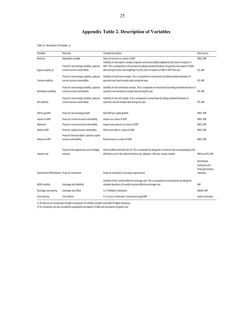### **Appendix Table 2. Description of Variables**

Table A1. Description of Variables 1/

| Variables                                       | Rationale                                                                     | Variable Description                                                                                                                                                                          | Data Source                                                   |
|-------------------------------------------------|-------------------------------------------------------------------------------|-----------------------------------------------------------------------------------------------------------------------------------------------------------------------------------------------|---------------------------------------------------------------|
| Reserves                                        | Dependent variable                                                            | Stock of reserves as a share of GDP<br>Volatility of real exports receipts of goods and services (G&S) weighted by the share of exports in                                                    | WEO, IMF                                                      |
| Export volatility 2/                            | Proxy for real earnings volatility, captures<br>current account vulnerability | GDP. This is computed on annual basis by taking standard deviation of quarterly real exports of G&S<br>data during the year and weighting it by the share of exports of G&S in GDP that year. | IFS, IMF                                                      |
| Tourism volatility                              | Proxy for real earnings volatility, captures<br>current account vulnerability | Volatility of real travel receipts. This is computed on annual basis by taking standard deviation of<br>quarterly real travel receipts data during the year.                                  | IFS, IMF                                                      |
| Remittance volatility                           | Proxy for real earnings volatility, captures<br>current account vulnerability | Volatility of real remittance receipts. This is computed on annual basis by taking standard deviation of<br>quarterly real remittance receipts data during the year.                          | IFS, IMF                                                      |
| Aid volatility                                  | Proxy for real earnings volatility, captures<br>current account vulnerability | Volatility of real aid receipts. This is computed on annual basis by taking standard deviation of<br>quarterly real aid receipts data during the year.                                        | IFS, IMF                                                      |
| GDP pc growth                                   | Proxy for real earnings growth                                                | Real GDP per capita growth.                                                                                                                                                                   | WEO, IMF                                                      |
| Import-to-GDP                                   | Proxy for current account vulnerability                                       | Imports as a share of GDP                                                                                                                                                                     | WEO, IMF                                                      |
| Openness                                        | Proxy for current account vulnerability                                       | Imports plus exports as a share of GDP                                                                                                                                                        | WEO, IMF                                                      |
| Debt-to-GDP                                     | Proxy for capital account vulnerability                                       | Short-term debt as a share of GDP                                                                                                                                                             | WEO, IMF                                                      |
| Money-to-GDP                                    | Proxy for financial depth; captures capital<br>account vulnerability          | Broad money as a share of GDP                                                                                                                                                                 | WEO, IMF                                                      |
| Interest rate                                   | Proxy for the opportunity cost of holdign<br>reserves                         | Interest differential with the US. This is computed by taking the US interest rate corresponding to the<br>definition use for the national interest rate (deposit, t-bill rate, money market) | WEO and IFS, IMF                                              |
| Government Effectiveness Proxy for institutions |                                                                               | Proxy for institutions, focusing on governance                                                                                                                                                | World Bank,<br>Kaufmann and<br>Kraay governance<br>indicators |
| NEER volatility                                 | Exchange rate flexibility                                                     | Volatility of the nominal effective exchange rate. This is computed on annual basisis by taking the<br>standard deviation of monthly nominal effective exchange rate                          | IMF                                                           |
| Exchange rate dummy                             | Exchange rate effect                                                          | Is 1 if flexible; 0 otherwise.                                                                                                                                                                | AREAR, IMF                                                    |
| Crisis dummy                                    | Crisis effects                                                                | Is 1 if crisis; 0 otherwise. Constructed using EMP.                                                                                                                                           | Author estimates                                              |

1/ All data are on annual basis though computation of volatlity variables used data of higher frequency.

2/ For sensitivity, we also considered unweighted real exports of G&S and real exports of goods only.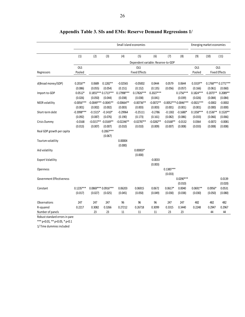|                                 |              | Small island economies |                        |                    |                                    |             | Emerging market economies |                       |              |            |                      |
|---------------------------------|--------------|------------------------|------------------------|--------------------|------------------------------------|-------------|---------------------------|-----------------------|--------------|------------|----------------------|
|                                 | (1)          | (2)                    | (3)                    | (4)                | (5)                                | (6)         | (7)                       | (8)                   | (9)          | (10)       | (11)                 |
|                                 |              |                        |                        |                    | Dependent variable: Reserve-to-GDP |             |                           |                       |              |            |                      |
|                                 | OLS          |                        |                        |                    | <b>OLS</b>                         |             |                           |                       | OLS          |            | <b>OLS</b>           |
| Regressors                      | Pooled       |                        |                        |                    | <b>Fixed Effects</b>               |             |                           |                       | Pooled       |            | <b>Fixed Effects</b> |
| d(Broad money/GDP)              | $0.2016**$   | 0.0689                 | $0.1282**$             | $-0.02565$         | $-0.05002$                         | 0.0444      | 0.0579                    | 0.0644                | $0.3319**$   |            | $0.1768***0.1771***$ |
|                                 | (0.086)      | (0.055)                | (0.054)                | (0.151)            | (0.152)                            | (0.135)     | (0.056)                   | (0.057)               | (0.166)      | (0.061)    | (0.060)              |
| Import-to-GDP                   | $0.0512*$    |                        | $0.1855***0.1713***$   | 0.17998 ***        | $0.17826***$                       | $0.2027***$ |                           | $0.1756***$           | $0.1824***$  | $0.2075**$ | $0.2089**$           |
|                                 | (0.026)      | (0.050)                | (0.044)                | (0.038)            | (0.038)                            | (0.041)     |                           | (0.039)               | (0.026)      | (0.084)    | (0.084)              |
| <b>NEER</b> volatility          | $-0.0056***$ | $-0.0049***-0.0045**$  |                        | $-0.00664**$       | $-0.00736**$                       | $-0.0072**$ |                           | $-0.0052***0.0046***$ | $-0.0021***$ | $-0.0002$  | $-0.0002$            |
|                                 | (0.001)      | (0.002)                | (0.002)                | (0.003)            | (0.003)                            | (0.003)     | (0.001)                   | (0.001)               | (0.001)      | (0.000)    | (0.000)              |
| Short-term debt                 | $-0.3998***$ | $-0.1515*$             | $-0.1410*$             | $-0.29964$         | $-0.25111$                         | $-0.2786$   | $-0.1302$                 | $-0.1680*$            | $0.1358***$  | $0.1536**$ | $0.1520**$           |
|                                 | (0.092)      | (0.087)                | (0.076)                | (0.190)            | (0.173)                            | (0.161)     | (0.082)                   | (0.086)               | (0.033)      | (0.066)    | (0.066)              |
| Crisis Dummy                    | $-0.0168$    |                        | $-0.0157** -0.0169**$  | $-0.02246**$       | $-0.02787**$                       | $-0.0282**$ | $-0.0168**$               | $-0.0132$             | 0.0364       | $-0.0072$  | $-0.0081$            |
|                                 | (0.013)      | (0.007)                | (0.007)                | (0.010)            | (0.010)                            | (0.009)     | (0.007)                   | (0.008)               | (0.033)      | (0.008)    | (0.008)              |
| Real GDP growth per capita      |              |                        | $0.2067***$<br>(0.067) |                    |                                    |             |                           |                       |              |            |                      |
| Tourism volatility              |              |                        |                        | 0.00004<br>(0.000) |                                    |             |                           |                       |              |            |                      |
| Aid volatility                  |              |                        |                        |                    | $0.00003*$<br>(0.000)              |             |                           |                       |              |            |                      |
| <b>Export Volatility</b>        |              |                        |                        |                    |                                    | $-0.0033$   |                           |                       |              |            |                      |
| Openness                        |              |                        |                        |                    |                                    | (0.003)     | $0.1385***$               |                       |              |            |                      |
| <b>Government Effectiveness</b> |              |                        |                        |                    |                                    |             | (0.033)                   | $0.0290***$           |              |            | 0.0139               |
|                                 |              |                        |                        |                    |                                    |             |                           | (0.010)               |              |            | (0.020)              |
| Constant                        | $0.1235***$  |                        | 0.0869 *** 0.0916 ***  | 0.06203            | 0.06915                            | 0.0672      | $0.0617*$                 | 0.0040                | $0.0691**$   | $0.0956*$  | 0.0531               |
|                                 | (0.017)      | (0.027)                | (0.025)                | (0.045)            | (0.050)                            | (0.049)     | (0.030)                   | (0.038)               | (0.030)      | (0.050)    | (0.080)              |
| Observations                    | 247          | 247                    | 247                    | 96                 | 96                                 | 96          | 247                       | 247                   | 482          | 482        | 482                  |
| R-squared                       | 0.2217       | 0.3082                 | 0.3266                 | 0.27212            | 0.26718                            | 0.3099      | 0.3315                    | 0.3440                | 0.2248       | 0.2947     | 0.2967               |
| Number of panels                |              | 23                     | 23                     | 11                 | 11                                 | 11          | 23                        | 23                    |              | 44         | 44                   |

### **Appendix Table 3. SIs and EMs: Reserve Demand Regressions 1/**

Robust standard errors in pare

\*\*\* p<0.01, \*\* p<0.05, \* p<0.1

1/ Time dummies included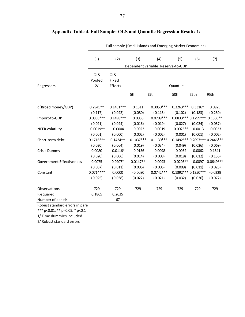|                                 | Full sample (Small islands and Emerging Market Economies) |             |             |                                    |             |                       |                                  |
|---------------------------------|-----------------------------------------------------------|-------------|-------------|------------------------------------|-------------|-----------------------|----------------------------------|
|                                 |                                                           |             |             |                                    |             |                       |                                  |
|                                 | (1)                                                       | (2)         | (3)         | (4)                                | (5)         | (6)                   | (7)                              |
|                                 |                                                           |             |             | Dependent variable: Reserve-to-GDP |             |                       |                                  |
|                                 | OLS                                                       | OLS         |             |                                    |             |                       |                                  |
|                                 | Pooled                                                    | Fixed       |             |                                    |             |                       |                                  |
| Regressors                      | 2/                                                        | Effects     |             |                                    | Quantile    |                       |                                  |
|                                 |                                                           |             | 5th         | 25th                               | 50th        | 75th                  | 95th                             |
|                                 |                                                           |             |             |                                    |             |                       |                                  |
| d(Broad money/GDP)              | $0.2945**$                                                | $0.1451***$ | 0.1311      | $0.3050***$                        | $0.3263***$ | $0.3316*$             | 0.0925                           |
|                                 | (0.117)                                                   | (0.042)     | (0.080)     | (0.115)                            | (0.102)     | (0.183)               | (0.230)                          |
| Import-to-GDP                   | $0.0888***$                                               | $0.1498***$ | 0.0036      | $0.0709***$                        |             | $0.0833***0.1299***$  | $0.1350**$                       |
|                                 | (0.021)                                                   | (0.044)     | (0.016)     | (0.019)                            | (0.027)     | (0.024)               | (0.057)                          |
| <b>NEER</b> volatility          | $-0.0019**$                                               | $-0.0004$   | $-0.0023$   | $-0.0019$                          | $-0.0025**$ | $-0.0013$             | $-0.0023$                        |
|                                 | (0.001)                                                   | (0.000)     | (0.002)     | (0.002)                            | (0.001)     | (0.001)               | (0.002)                          |
| Short-term debt                 | $0.1716***$                                               | $0.1434**$  | $0.1037***$ | $0.1130***$                        |             |                       | 0.1492 *** 0.2097 *** 0.2446 *** |
|                                 | (0.030)                                                   | (0.064)     | (0.019)     | (0.034)                            | (0.049)     | (0.036)               | (0.069)                          |
| Crisis Dummy                    | 0.0080                                                    | $-0.0116*$  | $-0.0136$   | $-0.0098$                          | $-0.0052$   | $-0.0062$             | 0.1541                           |
|                                 | (0.020)                                                   | (0.006)     | (0.014)     | (0.008)                            | (0.018)     | (0.012)               | (0.136)                          |
| <b>Government Effectiveness</b> | 0.0075                                                    | $0.0207*$   | $0.0147**$  | $-0.0093$                          | $-0.0205**$ | $-0.0097$             | $0.0649***$                      |
|                                 | (0.007)                                                   | (0.011)     | (0.006)     | (0.006)                            | (0.009)     | (0.011)               | (0.023)                          |
| Constant                        | $0.0714***$                                               | 0.0000      | $-0.0080$   | $0.0742***$                        |             | 0.1392 *** 0.1350 *** | $-0.0229$                        |
|                                 | (0.025)                                                   | (0.038)     | (0.022)     | (0.021)                            | (0.032)     | (0.036)               | (0.072)                          |
| Observations                    | 729                                                       | 729         | 729         | 729                                | 729         | 729                   | 729                              |
| R-squared                       | 0.1865                                                    | 0.2635      |             |                                    |             |                       |                                  |
| Number of panels                |                                                           | 67          |             |                                    |             |                       |                                  |

### **Appendix Table 4. Full Sample: OLS and Quantile Regression Results 1/**

Robust standard errors in pare

\*\*\* p<0.01, \*\* p<0.05, \* p<0.1

1/ Time dummies included

2/ Robust standard errors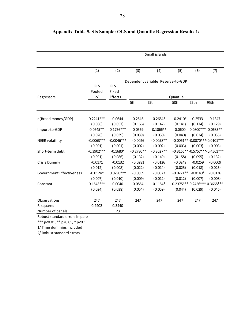|                                 |              |              |             | Small islands                      |             |                                   |            |
|---------------------------------|--------------|--------------|-------------|------------------------------------|-------------|-----------------------------------|------------|
|                                 |              |              |             |                                    |             |                                   |            |
|                                 | (1)          | (2)          | (3)         | (4)                                | (5)         | (6)                               | (7)        |
|                                 |              |              |             | Dependent variable: Reserve-to-GDP |             |                                   |            |
|                                 | <b>OLS</b>   | <b>OLS</b>   |             |                                    |             |                                   |            |
|                                 | Pooled       | Fixed        |             |                                    |             |                                   |            |
| Regressors                      | 2/           | Effects      |             |                                    | Quantile    |                                   |            |
|                                 |              |              | 5th         | 25th                               | 50th        | 75th                              | 95th       |
|                                 |              |              |             |                                    |             |                                   |            |
| d(Broad money/GDP)              | $0.2241***$  | 0.0644       | 0.2546      | $0.2654*$                          | $0.2410*$   | 0.2533                            | 0.1347     |
|                                 | (0.086)      | (0.057)      | (0.166)     | (0.147)                            | (0.141)     | (0.174)                           | (0.129)    |
| Import-to-GDP                   | $0.0645**$   | $0.1756***$  | 0.0569      | $0.1066**$                         | 0.0600      | $0.0800***$                       | $0.0683**$ |
|                                 | (0.026)      | (0.039)      | (0.039)     | (0.050)                            | (0.040)     | (0.024)                           | (0.035)    |
| <b>NEER</b> volatility          | $-0.0063***$ | $-0.0046***$ | $-0.0026$   | $-0.0058**$                        |             | $-0.0061** -0.0070*** -0.0101***$ |            |
|                                 | (0.001)      | (0.001)      | (0.002)     | (0.002)                            | (0.003)     | (0.003)                           | (0.003)    |
| Short-term debt                 | $-0.3902***$ | $-0.1680*$   | $-0.2780**$ | $-0.3627**$                        |             | $-0.3165**-0.5757***-0.4561***$   |            |
|                                 | (0.091)      | (0.086)      | (0.132)     | (0.149)                            | (0.158)     | (0.095)                           | (0.132)    |
| Crisis Dummy                    | $-0.0171$    | $-0.0132$    | $-0.0281$   | $-0.0126$                          | $-0.0249$   | $-0.0259$                         | $-0.0009$  |
|                                 | (0.012)      | (0.008)      | (0.022)     | (0.014)                            | (0.025)     | (0.018)                           | (0.025)    |
| <b>Government Effectiveness</b> | $-0.0124*$   | $0.0290***$  | $-0.0059$   | $-0.0073$                          | $-0.0271**$ | $-0.0140*$                        | $-0.0136$  |
|                                 | (0.007)      | (0.010)      | (0.009)     | (0.012)                            | (0.012)     | (0.007)                           | (0.008)    |
| Constant                        | $0.1543***$  | 0.0040       | 0.0854      | $0.1154*$                          |             | 0.2375*** 0.2456*** 0.3668***     |            |
|                                 | (0.024)      | (0.038)      | (0.054)     | (0.059)                            | (0.044)     | (0.029)                           | (0.045)    |
| Observations                    | 247          | 247          | 247         | 247                                | 247         | 247                               | 247        |
| R-squared                       | 0.2402       | 0.3440       |             |                                    |             |                                   |            |
| Number of panels                |              | 23           |             |                                    |             |                                   |            |
| De la cost este mel en d        |              |              |             |                                    |             |                                   |            |

### **Appendix Table 5. SIs Sample: OLS and Quantile Regression Results 1/**

Robust standard errors in pare

\*\*\* p<0.01, \*\* p<0.05, \* p<0.1 1/ Time dummies included

2/ Robust standard errors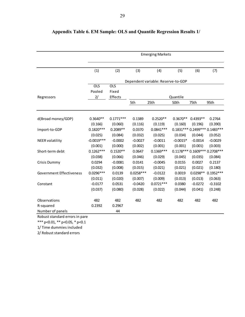|                                 |              |             |             | <b>Emerging Markets</b>            |            |            |                                  |
|---------------------------------|--------------|-------------|-------------|------------------------------------|------------|------------|----------------------------------|
|                                 |              |             |             |                                    |            |            |                                  |
|                                 | (1)          | (2)         | (3)         | (4)                                | (5)        | (6)        | (7)                              |
|                                 |              |             |             | Dependent variable: Reserve-to-GDP |            |            |                                  |
|                                 | <b>OLS</b>   | <b>OLS</b>  |             |                                    |            |            |                                  |
|                                 | Pooled       | Fixed       |             |                                    |            |            |                                  |
| Regressors                      | 2/           | Effects     |             |                                    | Quantile   |            |                                  |
|                                 |              |             | 5th         | 25th                               | 50th       | 75th       | 95th                             |
|                                 |              |             |             |                                    |            |            |                                  |
| d(Broad money/GDP)              | $0.3640**$   | $0.1771***$ | 0.1389      | $0.2520**$                         | $0.3670**$ | $0.4393**$ | 0.2764                           |
|                                 | (0.166)      | (0.060)     | (0.116)     | (0.119)                            | (0.160)    | (0.196)    | (0.390)                          |
| Import-to-GDP                   | $0.1820***$  | $0.2089**$  | 0.0370      | $0.0841***$                        |            |            | 0.1831 *** 0.2499 *** 0.1483 *** |
|                                 | (0.025)      | (0.084)     | (0.032)     | (0.025)                            | (0.034)    | (0.044)    | (0.052)                          |
| <b>NEER</b> volatility          | $-0.0019***$ | $-0.0002$   | $-0.0027$   | $-0.0011$                          | $-0.0015*$ | $-0.0014$  | $-0.0029$                        |
|                                 | (0.001)      | (0.000)     | (0.002)     | (0.001)                            | (0.001)    | (0.001)    | (0.003)                          |
| Short-term debt                 | $0.1262***$  | $0.1520**$  | 0.0647      | $0.1369***$                        |            |            | 0.1178*** 0.1609*** 0.2708***    |
|                                 | (0.038)      | (0.066)     | (0.046)     | (0.029)                            | (0.045)    | (0.035)    | (0.084)                          |
| Crisis Dummy                    | 0.0294       | $-0.0081$   | 0.0141      | $-0.0045$                          | 0.0155     | 0.0027     | 0.2137                           |
|                                 | (0.032)      | (0.008)     | (0.015)     | (0.021)                            | (0.021)    | (0.021)    | (0.180)                          |
| <b>Government Effectiveness</b> | $0.0296***$  | 0.0139      | $0.0258***$ | $-0.0122$                          | 0.0019     | $0.0298**$ | $0.1952***$                      |
|                                 | (0.011)      | (0.020)     | (0.007)     | (0.009)                            | (0.013)    | (0.013)    | (0.063)                          |
| Constant                        | $-0.0177$    | 0.0531      | $-0.0420$   | $0.0721***$                        | 0.0380     | $-0.0272$  | $-0.3102$                        |
|                                 | (0.037)      | (0.080)     | (0.028)     | (0.022)                            | (0.044)    | (0.041)    | (0.248)                          |
| Observations                    | 482          | 482         | 482         | 482                                | 482        | 482        | 482                              |
| R-squared                       | 0.2392       | 0.2967      |             |                                    |            |            |                                  |
| Number of panels                |              | 44          |             |                                    |            |            |                                  |

### **Appendix Table 6. EM Sample: OLS and Quantile Regression Results 1/**

Robust standard errors in pare

\*\*\* p<0.01, \*\* p<0.05, \* p<0.1 1/ Time dummies included

2/ Robust standard errors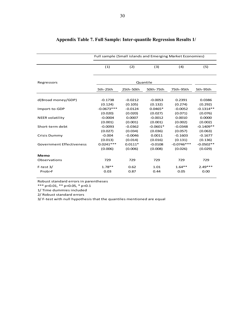|                                 |              | <b>Full sample (Small islands and Emerging Market Economies)</b> |            |              |             |  |  |  |  |  |  |
|---------------------------------|--------------|------------------------------------------------------------------|------------|--------------|-------------|--|--|--|--|--|--|
|                                 | (1)          | (2)                                                              | (3)        | (4)          | (5)         |  |  |  |  |  |  |
| Regressors                      |              |                                                                  | Quantile   |              |             |  |  |  |  |  |  |
|                                 | 5th-25th     | 25th-50th                                                        | 50th-75th  | 75th-95th    | 5th-95th    |  |  |  |  |  |  |
|                                 |              |                                                                  |            |              |             |  |  |  |  |  |  |
| d(Broad money/GDP)              | $-0.1738$    | $-0.0212$                                                        | $-0.0053$  | 0.2391       | 0.0386      |  |  |  |  |  |  |
|                                 | (0.124)      | (0.105)                                                          | (0.132)    | (0.274)      | (0.292)     |  |  |  |  |  |  |
| Import-to-GDP                   | $-0.0673***$ | $-0.0124$                                                        | $0.0465*$  | $-0.0052$    | $-0.1314**$ |  |  |  |  |  |  |
|                                 | (0.020)      | (0.020)                                                          | (0.027)    | (0.071)      | (0.076)     |  |  |  |  |  |  |
| <b>NEER volatility</b>          | $-0.0004$    | 0.0007                                                           | $-0.0012$  | 0.0010       | 0.0000      |  |  |  |  |  |  |
|                                 | (0.001)      | (0.001)                                                          | (0.001)    | (0.002)      | (0.002)     |  |  |  |  |  |  |
| Short-term debt                 | $-0.0093$    | $-0.0362$                                                        | $-0.0601*$ | $-0.0348$    | $-0.1409**$ |  |  |  |  |  |  |
|                                 | (0.027)      | (0.034)                                                          | (0.036)    | (0.057)      | (0.063)     |  |  |  |  |  |  |
| <b>Crisis Dummy</b>             | $-0.004$     | $-0.0046$                                                        | 0.0011     | $-0.1603$    | $-0.1677$   |  |  |  |  |  |  |
|                                 | (0.013)      | (0.014)                                                          | (0.016)    | (0.131)      | (0.136)     |  |  |  |  |  |  |
| <b>Government Effectiveness</b> | $0.0241***$  | $0.0111*$                                                        | $-0.0108$  | $-0.0746***$ | $-0.0502**$ |  |  |  |  |  |  |
|                                 | (0.006)      | (0.006)                                                          | (0.008)    | (0.026)      | (0.029)     |  |  |  |  |  |  |
| Memo                            |              |                                                                  |            |              |             |  |  |  |  |  |  |
| Observations                    | 729          | 729                                                              | 729        | 729          | 729         |  |  |  |  |  |  |
| $F-test 3/$                     | $1.78**$     | 0.62                                                             | 1.01       | $1.64**$     | $2.49***$   |  |  |  |  |  |  |
| Prob>F                          | 0.03         | 0.87                                                             | 0.44       | 0.05         | 0.00        |  |  |  |  |  |  |

### **Appendix Table 7. Full Sample: Inter-quantile Regression Results 1/**

Robust standard errors in parentheses

\*\*\* p<0.01, \*\* p<0.05, \* p<0.1

1/ Time dummies included

2/ Robust standard errors

3/ F-test with null hypothesis that the quantiles mentioned are equal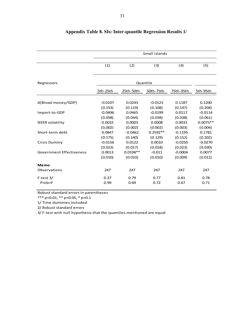|                                 |           |            | Small islands |           |            |
|---------------------------------|-----------|------------|---------------|-----------|------------|
|                                 |           |            |               |           |            |
|                                 | (1)       | (2)        | (3)           | (4)       | (5)        |
|                                 |           |            |               |           |            |
| Regressors                      |           |            | Quantile      |           |            |
|                                 | 5th-25th  | 25th-50th  | 50th-75th     | 75th-95th | 5th-95th   |
|                                 |           |            |               |           |            |
| d(Broad money/GDP)              | $-0.0107$ | 0.0243     | $-0.0123$     | 0.1187    | 0.1200     |
|                                 | (0.153)   | (0.119)    | (0.108)       | (0.147)   | (0.204)    |
| Import-to-GDP                   | $-0.0496$ | 0.0465     | $-0.0199$     | 0.0117    | $-0.0114$  |
|                                 | (0.058)   | (0.044)    | (0.038)       | (0.038)   | (0.061)    |
| <b>NEER</b> volatility          | 0.0032    | 0.0003     | 0.0008        | 0.0031    | $0.0075**$ |
|                                 | (0.002)   | (0.002)    | (0.002)       | (0.003)   | (0.004)    |
| Short-term debt                 | 0.0847    | $-0.0462$  | $0.2592**$    | $-0.1195$ | 0.1781     |
|                                 | (0.175)   | (0.140)    | (0.129)       | (0.152)   | (0.202)    |
| Crisis Dummy                    | $-0.0156$ | 0.0122     | 0.0010        | $-0.0250$ | $-0.0270$  |
|                                 | (0.023)   | (0.017)    | (0.018)       | (0.023)   | (0.030)    |
| <b>Government Effectiveness</b> | 0.0013    | $0.0198**$ | $-0.011$      | $-0.0004$ | 0.0077     |
|                                 | (0.010)   | (0.010)    | (0.010)       | (0.009)   | (0.012)    |
| Memo                            |           |            |               |           |            |
| Observations                    | 247       | 247        | 247           | 247       | 247        |
| $F-test 3/$                     | 0.37      | 0.79       | 0.77          | 0.81      | 0.78       |
| Prob>F                          | 0.99      | 0.69       | 0.72          | 0.67      | 0.71       |

### **Appendix Table 8. SIs: Inter-quantile Regression Results 1/**

Robust standard errors in parentheses

\*\*\* p<0.01, \*\* p<0.05, \* p<0.1

1/ Time dummies included

2/ Robust standard errors

3/ F-test with null hypothesis that the quantiles mentioned are equal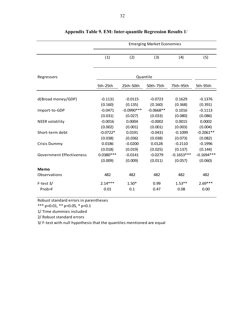|                                 |             | <b>Emerging Market Economies</b> |             |              |              |  |  |  |  |  |
|---------------------------------|-------------|----------------------------------|-------------|--------------|--------------|--|--|--|--|--|
|                                 | (1)         | (2)                              | (3)         | (4)          | (5)          |  |  |  |  |  |
| Regressors                      |             | Quantile                         |             |              |              |  |  |  |  |  |
|                                 | 5th-25th    | 25th-50th                        | 50th-75th   | 75th-95th    | 5th-95th     |  |  |  |  |  |
| d(Broad money/GDP)              | $-0.1131$   | $-0.0115$                        | $-0.0723$   | 0.1629       | $-0.1376$    |  |  |  |  |  |
|                                 | (0.160)     | (0.135)                          | (0.160)     | (0.368)      | (0.391)      |  |  |  |  |  |
| Import-to-GDP                   | $-0.0471$   | $-0.0990***$                     | $-0.0668**$ | 0.1016       | $-0.1113$    |  |  |  |  |  |
|                                 | (0.031)     | (0.027)                          | (0.033)     | (0.080)      | (0.086)      |  |  |  |  |  |
| <b>NEER</b> volatility          | $-0.0016$   | 0.0004                           | $-0.0002$   | 0.0015       | 0.0002       |  |  |  |  |  |
|                                 | (0.002)     | (0.001)                          | (0.001)     | (0.003)      | (0.004)      |  |  |  |  |  |
| Short-term debt                 | $-0.0722*$  | 0.0191                           | $-0.0431$   | $-0.1099$    | $-0.2061**$  |  |  |  |  |  |
|                                 | (0.038)     | (0.036)                          | (0.038)     | (0.073)      | (0.082)      |  |  |  |  |  |
| <b>Crisis Dummy</b>             | 0.0186      | $-0.0200$                        | 0.0128      | $-0.2110$    | $-0.1996$    |  |  |  |  |  |
|                                 | (0.018)     | (0.019)                          | (0.025)     | (0.137)      | (0.144)      |  |  |  |  |  |
| <b>Government Effectiveness</b> | $0.0380***$ | $-0.0141$                        | $-0.0279$   | $-0.1653***$ | $-0.1694***$ |  |  |  |  |  |
|                                 | (0.009)     | (0.009)                          | (0.011)     | (0.057)      | (0.060)      |  |  |  |  |  |
| <b>Memo</b>                     |             |                                  |             |              |              |  |  |  |  |  |
| Observations                    | 482         | 482                              | 482         | 482          | 482          |  |  |  |  |  |
| $F-test 3/$                     | $2.14***$   | $1.50*$                          | 0.99        | $1.53**$     | $2.69***$    |  |  |  |  |  |
| Prob>F                          | 0.01        | 0.1                              | 0.47        | 0.08         | 0.00         |  |  |  |  |  |

### **Appendix Table 9. EM: Inter-quantile Regression Results 1**/

Robust standard errors in parentheses

\*\*\* p<0.01, \*\* p<0.05, \* p<0.1

1/ Time dummies included

2/ Robust standard errors

3/ F-test with null hypothesis that the quantiles mentioned are equal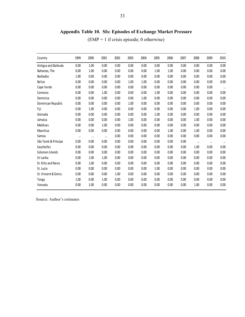## **Appendix Table 10. SIs: Episodes of Exchange Market Pressure**

(EMP = 1 if crisis episode; 0 otherwise)

| Country              | 1999     | 2000     | 2001     | 2002 | 2003 | 2004 | 2005 | 2006 | 2007 | 2008     | 2009     | 2010      |
|----------------------|----------|----------|----------|------|------|------|------|------|------|----------|----------|-----------|
| Antigua and Barbuda  | 0.00     | 1.00     | 0.00     | 0.00 | 0.00 | 0.00 | 0.00 | 0.00 | 0.00 | 0.00     | 0.00     | 0.00      |
| Bahamas, The         | 0.00     | 1.00     | 0.00     | 0.00 | 0.00 | 0.00 | 1.00 | 1.00 | 0.00 | 0.00     | 0.00     | 0.00      |
| <b>Barbados</b>      | 1.00     | 0.00     | 0.00     | 0.00 | 0.00 | 0.00 | 0.00 | 0.00 | 0.00 | 0.00     | 0.00     | 0.00      |
| Belize               | 0.00     | 0.00     | 0.00     | 0.00 | 1.00 | 1.00 | 0.00 | 0.00 | 0.00 | 0.00     | 0.00     | 0.00      |
| Cape Verde           | 0.00     | 0.00     | 0.00     | 0.00 | 0.00 | 0.00 | 0.00 | 0.00 | 0.00 | 0.00     | 0.00     | $\cdots$  |
| Comoros              | 0.00     | 0.00     | 1.00     | 0.00 | 0.00 | 0.00 | 1.00 | 0.00 | 0.00 | 0.00     | 0.00     | 0.00      |
| Dominica             | 0.00     | 0.00     | 0.00     | 0.00 | 0.00 | 1.00 | 0.00 | 0.00 | 0.00 | 0.00     | 0.00     | 0.00      |
| Dominican Republic   | 0.00     | 0.00     | 0.00     | 0.00 | 1.00 | 0.00 | 0.00 | 0.00 | 0.00 | 0.00     | 0.00     | 0.00      |
| Fiji                 | 0.00     | 1.00     | 0.00     | 0.00 | 0.00 | 0.00 | 0.00 | 0.00 | 0.00 | 1.00     | 0.00     | 0.00      |
| Grenada              | 0.00     | 0.00     | 0.00     | 0.00 | 0.00 | 0.00 | 1.00 | 0.00 | 0.00 | 0.00     | 0.00     | 0.00      |
| Jamaica              | 0.00     | 0.00     | 0.00     | 0.00 | 1.00 | 0.00 | 0.00 | 0.00 | 0.00 | 1.00     | 0.00     | 0.00      |
| Maldives             | 0.00     | 0.00     | 1.00     | 0.00 | 0.00 | 0.00 | 0.00 | 0.00 | 0.00 | 0.00     | 0.00     | 0.00      |
| Mauritius            | 0.00     | 0.00     | 0.00     | 0.00 | 0.00 | 0.00 | 0.00 | 1.00 | 0.00 | 1.00     | 0.00     | 0.00      |
| Samoa                | $\cdots$ | $\cdots$ | $\cdots$ | 0.00 | 0.00 | 0.00 | 0.00 | 0.00 | 0.00 | 0.00     | 0.00     | 0.00      |
| São Tomé & Príncipe  | 0.00     | 0.00     | 0.00     | 0.00 | 0.00 | 0.00 | 0.00 | 0.00 | 0.00 | $\cdots$ | $\cdots$ | $\ddotsc$ |
| Seychelles           | 0.00     | 0.00     | 0.00     | 0.00 | 0.00 | 0.00 | 0.00 | 0.00 | 0.00 | 1.00     | 0.00     | 0.00      |
| Solomon Islands      | 0.00     | 0.00     | 0.00     | 0.00 | 0.00 | 0.00 | 0.00 | 0.00 | 0.00 | 0.00     | 0.00     | 0.00      |
| Sri Lanka            | 0.00     | 1.00     | 1.00     | 0.00 | 0.00 | 0.00 | 0.00 | 0.00 | 0.00 | 0.00     | 0.00     | 0.00      |
| St. Kitts and Nevis  | 0.00     | 1.00     | 0.00     | 0.00 | 0.00 | 0.00 | 0.00 | 0.00 | 0.00 | 0.00     | 0.00     | 0.00      |
| St. Lucia            | 0.00     | 0.00     | 0.00     | 0.00 | 0.00 | 0.00 | 1.00 | 0.00 | 0.00 | 0.00     | 0.00     | 0.00      |
| St. Vincent & Grens. | 0.00     | 0.00     | 0.00     | 1.00 | 0.00 | 0.00 | 0.00 | 0.00 | 0.00 | 0.00     | 0.00     | 0.00      |
| Tonga                | 1.00     | 0.00     | 1.00     | 0.00 | 0.00 | 0.00 | 0.00 | 0.00 | 0.00 | 0.00     | 0.00     | 0.00      |
| Vanuatu              | 0.00     | 1.00     | 0.00     | 0.00 | 0.00 | 0.00 | 0.00 | 0.00 | 0.00 | 1.00     | 0.00     | 0.00      |

Source: Author's estimates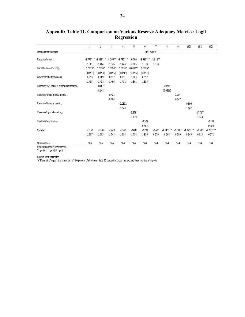|                                                           | (1)               | (2)         | (3)        | (4)         | (5)        | (6)         | (7)        | (8)         | (9)       | (10)        | (11)       | (12)        |  |
|-----------------------------------------------------------|-------------------|-------------|------------|-------------|------------|-------------|------------|-------------|-----------|-------------|------------|-------------|--|
| Independent variables                                     | <b>EMP</b> events |             |            |             |            |             |            |             |           |             |            |             |  |
| Reserves/metric <sub>t-1</sub>                            | $-3.771***$       | $-3.833***$ | $-4.565**$ | $-3.797***$ | 0.700      | $-3.986***$ | $-2.812**$ |             |           |             |            |             |  |
|                                                           | (1.361)           | (1.404)     | (1.926)    | (1.446)     | (2.665)    | (1.378)     | (1.178)    |             |           |             |            |             |  |
| Fiscal balance-to-GDP <sub>1-1</sub>                      | $0.0379*$         | $0.0370*$   | $0.0390*$  | $0.0374*$   | $0.0495**$ | $0.0396*$   |            |             |           |             |            |             |  |
|                                                           | (0.0203)          | (0.0204)    | (0.0207)   | (0.0219)    | (0.0237)   | (0.0205)    |            |             |           |             |            |             |  |
| Government effectiveness <sub>t-1</sub>                   | 0.813             | 0.789       | 0.972      | 0.811       | 1.863      | 0.557       |            |             |           |             |            |             |  |
|                                                           | (1.435)           | (1.435)     | (1.466)    | (1.432)     | (1.561)    | (1.536)     |            |             |           |             |            |             |  |
| Reserves/(CA deficit + s.term debt metric) <sub>t-1</sub> |                   | 0.0385      |            |             |            |             |            | 0.0215      |           |             |            |             |  |
|                                                           |                   | (0.148)     |            |             |            |             |            | (0.0816)    |           |             |            |             |  |
| Reserves/broad money metric <sub>t-1</sub>                |                   |             | 0.421      |             |            |             |            |             | $-0.934*$ |             |            |             |  |
|                                                           |                   |             | (0.704)    |             |            |             |            |             | (0.547)   |             |            |             |  |
| Reserves/ imports metric <sub>t-1</sub>                   |                   |             |            | $-0.0832$   |            |             |            |             |           | 0.500       |            |             |  |
|                                                           |                   |             |            | (1.548)     |            |             |            |             |           | (1.062)     |            |             |  |
| Reserves/Lipschitz metric <sub>t-1</sub>                  |                   |             |            |             | $-5.279*$  |             |            |             |           |             | $-2.771**$ |             |  |
|                                                           |                   |             |            |             | (3.119)    |             |            |             |           |             | (1.143)    |             |  |
| Reserves/Maxmetric <sub>t-1</sub>                         |                   |             |            |             |            | $-0.529$    |            |             |           |             |            | $-0.268$    |  |
|                                                           |                   |             |            |             |            | (0.502)     |            |             |           |             |            | (0.389)     |  |
| Constant                                                  | $-1.358$          | $-1.335$    | $-1.611$   | $-1.360$    | $-2.038$   | $-0.792$    | $-0.689$   | $-2.113***$ | $-1.088*$ | $-1.975***$ | $-0.583$   | $-2.007***$ |  |
|                                                           | (1.687)           | (1.685)     | (1.748)    | (1.684)     | (1.734)    | (1.836)     | (0.579)    | (0.263)     | (0.589)   | (0.345)     | (0.614)    | (0.272)     |  |
| Observations                                              | 164               | 164         | 164        | 164         | 164        | 164         | 164        | 164         | 164       | 164         | 164        | 164         |  |

**Appendix Table 11. Comparison on Various Reserve Adequacy Metrics: Logit Regression**

Standard errors in parentheses \*\*\* p<0.01, \*\* p<0.05, \* p<0.1

Source: Staff estimates

1/ "Maxmetric" equals the maximum of 100 percent of short-term debt, 20 percent of broad money, and three months of imports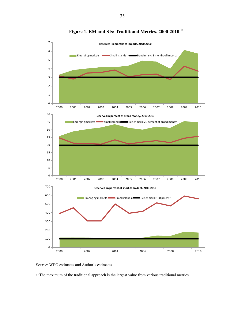

**Figure 1. EM and SIs: Traditional Metrics, 2000-2010** 1/



1/ The maximum of the traditional approach is the largest value from various traditional metrics.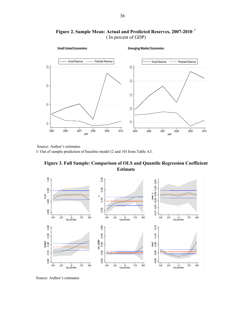

**Figure 2. Sample Mean: Actual and Predicted Reserves, 2007-2010** 1/ ( In percent of GDP)

Source: Author's estimates

1/ Out of sample prediction of baseline model (2 and 10) from Table A3.



**Figure 3. Full Sample: Comparison of OLS and Quantile Regression Coefficient** 

Source: Author's estimates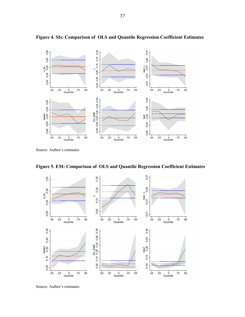

**Figure 4. SIs: Comparison of OLS and Quantile Regression Coefficient Estimates**

Source: Author's estimates



**Figure 5. EM: Comparison of OLS and Quantile Regression Coefficient Estimates** 

Source: Author's estimates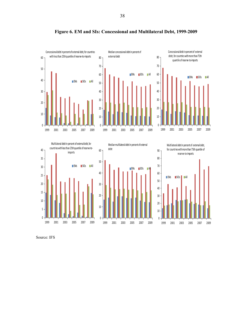

**Figure 6. EM and SIs: Concessional and Multilateral Debt, 1999-2009** 





Source: IFS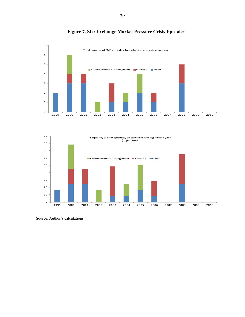

### **Figure 7. SIs: Exchange Market Pressure Crisis Episodes**



Source: Author's calculations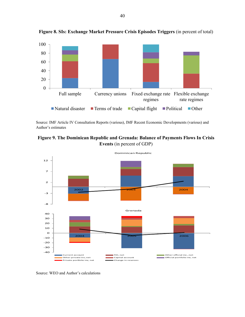

**Figure 8. SIs: Exchange Market Pressure Crisis Episodes Triggers** (in percent of total)

Source: IMF Article IV Consultation Reports (various), IMF Recent Economic Developments (various) and Author's estimates





Source: WEO and Author's calculations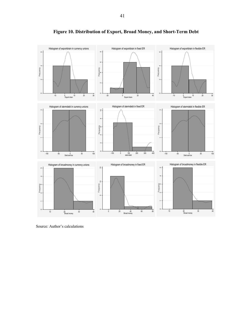

**Figure 10. Distribution of Export, Broad Money, and Short-Term Debt** 

Source: Author's calculations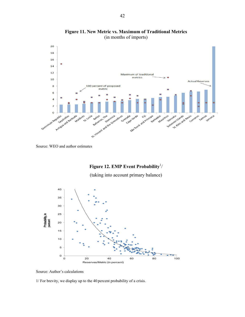

**Figure 11. New Metric vs. Maximum of Traditional Metrics**  (in months of imports)

#### Figure 12. EMP Event Probability<sup>1</sup>/

(taking into account primary balance)



Source: Author's calculations

1/ For brevity, we display up to the 40 percent probability of a crisis.

Source: WEO and author estimates